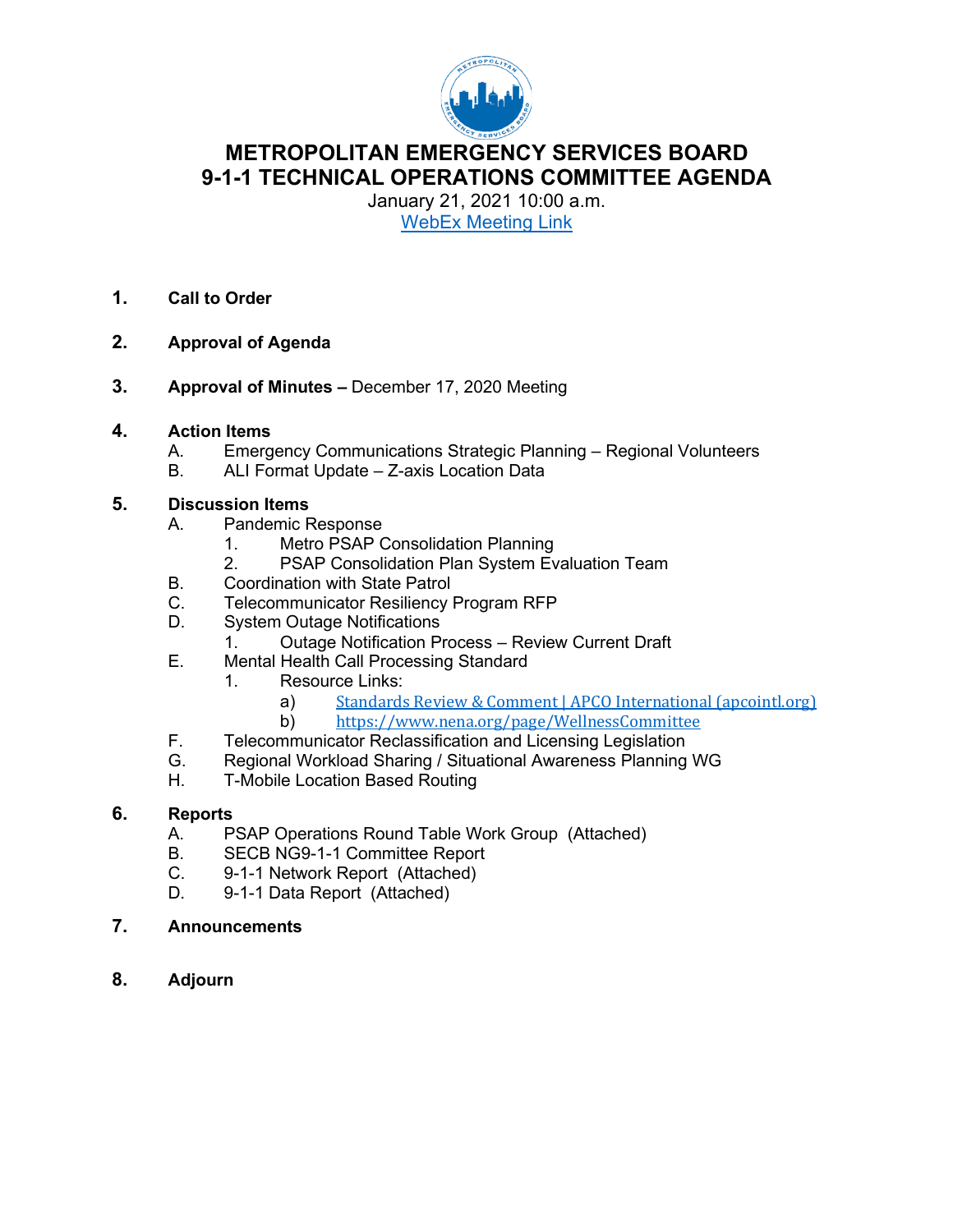

#### **METROPOLITAN EMERGENCY SERVICES BOARD 9-1-1 TECHNICAL OPERATIONS COMMITTEE AGENDA**

January 21, 2021 10:00 a.m. WebEx [Meeting Link](https://url.emailprotection.link/?bKstdjlB_YRBjPhWGPVuejsAtnArPIyrxY8VP36_LVqJ-VIrN5HbYqQOlAO9DyZ_zNL0vgzwWQkxS2HDjmZqOnBx5bh-I3HSrZxtej80kf1hx9NEL5all5SpZSY8yZEICJ8NADhZKGt3YFSgwU6bmji-0KUMTbg-VcoJQPbp3QSXaXOOBHSQ-5faV5MOeZ0C2dQDJmBbYGD-WYLPnvCL4Jw%7E%7E)

- **1. Call to Order**
- **2. Approval of Agenda**
- **3. Approval of Minutes –** December 17, 2020 Meeting

#### **4. Action Items**

- A. Emergency Communications Strategic Planning Regional Volunteers<br>B. ALI Format Update Z-axis Location Data
- ALI Format Update Z-axis Location Data

## **5. Discussion Items**

- Pandemic Response
	- 1. Metro PSAP Consolidation Planning
	- 2. PSAP Consolidation Plan System Evaluation Team
- B. Coordination with State Patrol
- C. Telecommunicator Resiliency Program RFP
- D. System Outage Notifications
	- 1. Outage Notification Process Review Current Draft
- E. Mental Health Call Processing Standard
	- 1. Resource Links:
		- a) [Standards Review & Comment | APCO International \(apcointl.org\)](https://url.emailprotection.link/?bU0pWF1SBXt7rqOVgnQEu3rv2KO6oMhBBKFkS5gMk19x9cq4sg6AMZLpEoWJtXAe0g9IAi0G8ijpZrIjTP1gkvQ4cQhcSYvPzydtY-c3qetXWlQkmZaBeQpazqb542LWL)<br>b) https://www.nena.org/page/WellnessCommittee
		- b) <https://www.nena.org/page/WellnessCommittee>
- F. Telecommunicator Reclassification and Licensing Legislation
- G. Regional Workload Sharing / Situational Awareness Planning WG<br>H. T-Mobile Location Based Routing
- **T-Mobile Location Based Routing**

#### **6. Reports**

- A. PSAP Operations Round Table Work Group (Attached)
- B. SECB NG9-1-1 Committee Report
- C. 9-1-1 Network Report (Attached)<br>D. 9-1-1 Data Report (Attached)
- 9-1-1 Data Report (Attached)
- **7. Announcements**
- **8. Adjourn**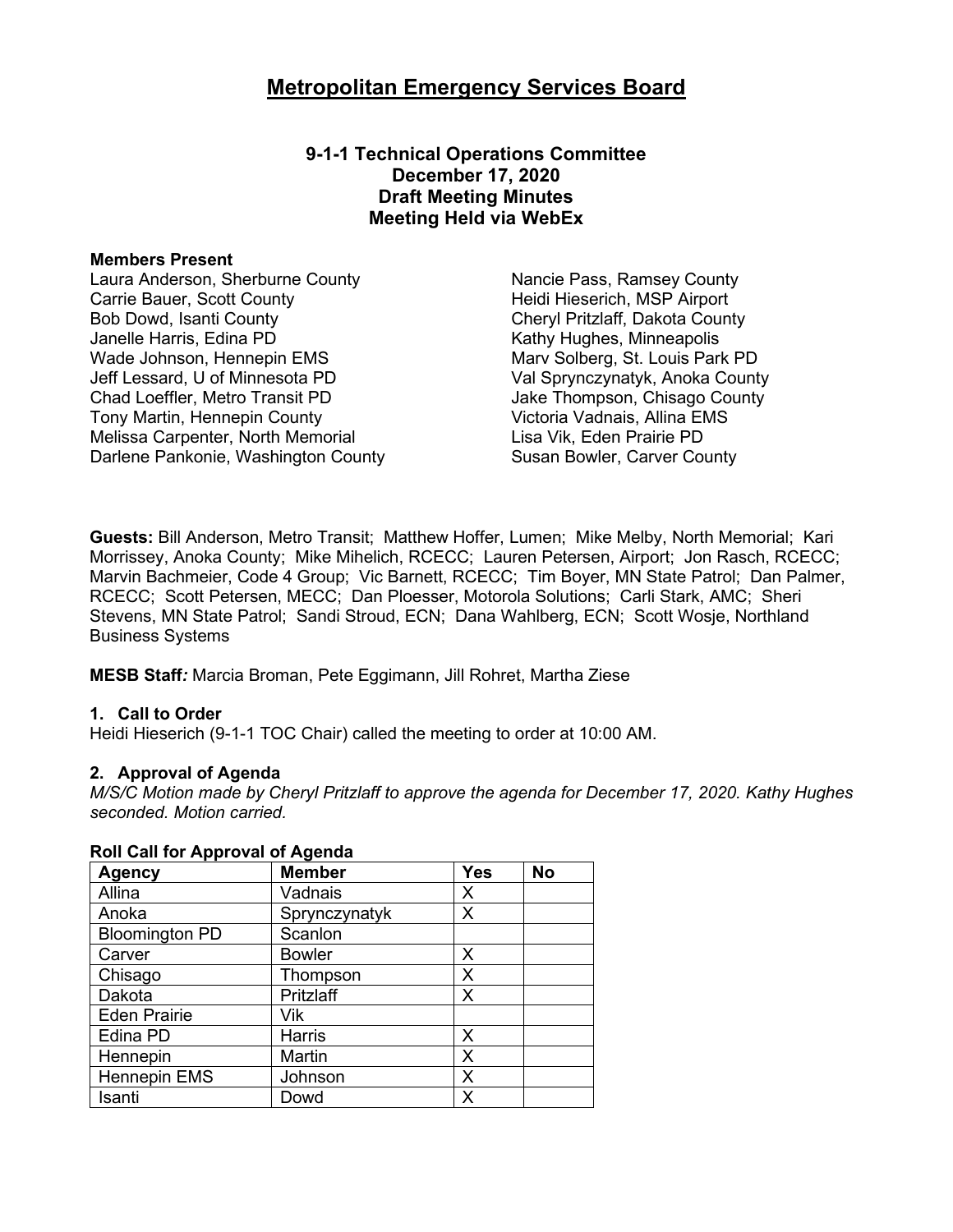**9-1-1 Technical Operations Committee December 17, 2020 Draft Meeting Minutes Meeting Held via WebEx**

#### **Members Present**

Laura Anderson, Sherburne County **Nancie Pass, Ramsey County** Carrie Bauer, Scott County Bob Dowd, Isanti County Janelle Harris, Edina PD<br>
Wade Johnson, Hennepin EMS<br>
Wade Johnson, Hennepin EMS<br>
Warv Solberg, St. Louis Parl Wade Johnson, Hennepin EMS<br>
Jeff Lessard, U of Minnesota PD<br>
Val Sprynczynatyk, Anoka Count Chad Loeffler, Metro Transit PD Jake Thompson, Chisago County Tony Martin, Hennepin County **Victoria Vadnais, Allina EMS** Melissa Carpenter, North Memorial **Lisa Vik, Eden Prairie PD** Darlene Pankonie, Washington County **Susan Bowler, Carver County** 

Heidi Hieserich, MSP Airport Cheryl Pritzlaff, Dakota County Val Sprynczynatyk, Anoka County

**Guests:** Bill Anderson, Metro Transit; Matthew Hoffer, Lumen; Mike Melby, North Memorial; Kari Morrissey, Anoka County; Mike Mihelich, RCECC; Lauren Petersen, Airport; Jon Rasch, RCECC; Marvin Bachmeier, Code 4 Group; Vic Barnett, RCECC; Tim Boyer, MN State Patrol; Dan Palmer, RCECC; Scott Petersen, MECC; Dan Ploesser, Motorola Solutions; Carli Stark, AMC; Sheri Stevens, MN State Patrol; Sandi Stroud, ECN; Dana Wahlberg, ECN; Scott Wosje, Northland Business Systems

**MESB Staff***:* Marcia Broman, Pete Eggimann, Jill Rohret, Martha Ziese

#### **1. Call to Order**

Heidi Hieserich (9-1-1 TOC Chair) called the meeting to order at 10:00 AM.

#### **2. Approval of Agenda**

*M/S/C Motion made by Cheryl Pritzlaff to approve the agenda for December 17, 2020. Kathy Hughes seconded. Motion carried.*

| <b>Agency</b>         | <b>Member</b> | <b>Yes</b> | <b>No</b> |
|-----------------------|---------------|------------|-----------|
| Allina                | Vadnais       | X          |           |
| Anoka                 | Sprynczynatyk | X          |           |
| <b>Bloomington PD</b> | Scanlon       |            |           |
| Carver                | <b>Bowler</b> | X          |           |
| Chisago               | Thompson      | X          |           |
| Dakota                | Pritzlaff     | X          |           |
| <b>Eden Prairie</b>   | Vik           |            |           |
| Edina PD              | Harris        | X          |           |
| Hennepin              | Martin        | X          |           |
| Hennepin EMS          | Johnson       | X          |           |
| Isanti                | Dowd          | Χ          |           |

#### **Roll Call for Approval of Agenda**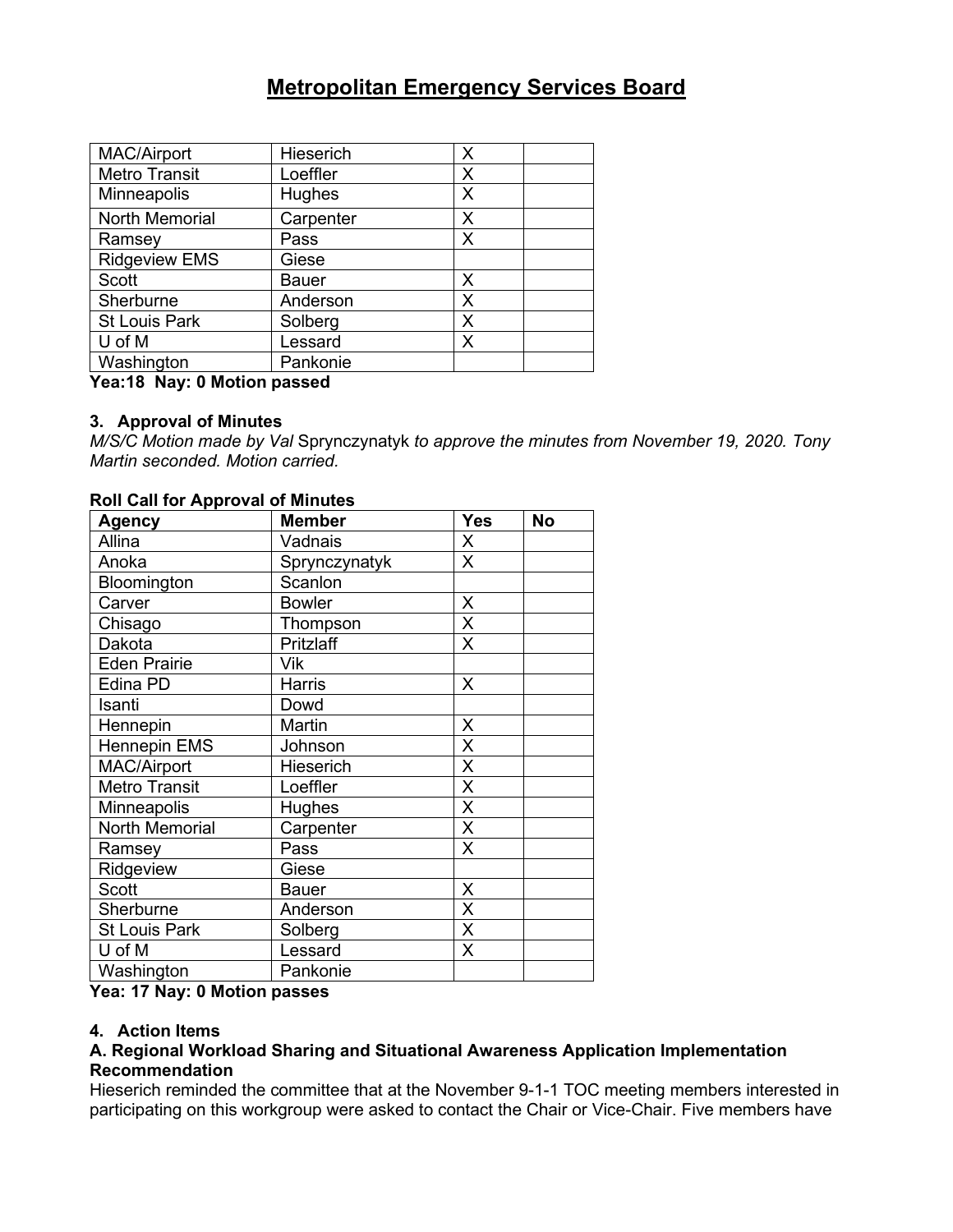| MAC/Airport          | Hieserich | X |  |
|----------------------|-----------|---|--|
| <b>Metro Transit</b> | Loeffler  | X |  |
| Minneapolis          | Hughes    | X |  |
| North Memorial       | Carpenter | Х |  |
| Ramsey               | Pass      | X |  |
| <b>Ridgeview EMS</b> | Giese     |   |  |
| Scott                | Bauer     | Х |  |
| Sherburne            | Anderson  | X |  |
| <b>St Louis Park</b> | Solberg   | Χ |  |
| U of M               | Lessard   | Х |  |
| Washington           | Pankonie  |   |  |

#### **Yea:18 Nay: 0 Motion passed**

#### **3. Approval of Minutes**

*M/S/C Motion made by Val* Sprynczynatyk *to approve the minutes from November 19, 2020. Tony Martin seconded. Motion carried.* 

| <b>Agency</b>         | <b>Member</b> | <b>Yes</b>              | <b>No</b> |
|-----------------------|---------------|-------------------------|-----------|
| Allina                | Vadnais       | $\pmb{\times}$          |           |
| Anoka                 | Sprynczynatyk | $\overline{\mathsf{x}}$ |           |
| Bloomington           | Scanlon       |                         |           |
| Carver                | <b>Bowler</b> | X                       |           |
| Chisago               | Thompson      | X                       |           |
| Dakota                | Pritzlaff     | X                       |           |
| <b>Eden Prairie</b>   | Vik           |                         |           |
| Edina PD              | Harris        | $\times$                |           |
| Isanti                | Dowd          |                         |           |
| Hennepin              | Martin        | X                       |           |
| <b>Hennepin EMS</b>   | Johnson       | X                       |           |
| <b>MAC/Airport</b>    | Hieserich     | X                       |           |
| Metro Transit         | Loeffler      | X                       |           |
| Minneapolis           | <b>Hughes</b> | X                       |           |
| <b>North Memorial</b> | Carpenter     | X                       |           |
| Ramsey                | Pass          | X                       |           |
| Ridgeview             | Giese         |                         |           |
| <b>Scott</b>          | Bauer         | X                       |           |
| Sherburne             | Anderson      | X                       |           |
| <b>St Louis Park</b>  | Solberg       | X                       |           |
| U of M                | Lessard       | X                       |           |
| Washington            | Pankonie      |                         |           |

#### **Roll Call for Approval of Minutes**

**Yea: 17 Nay: 0 Motion passes**

#### **4. Action Items**

#### **A. Regional Workload Sharing and Situational Awareness Application Implementation Recommendation**

Hieserich reminded the committee that at the November 9-1-1 TOC meeting members interested in participating on this workgroup were asked to contact the Chair or Vice-Chair. Five members have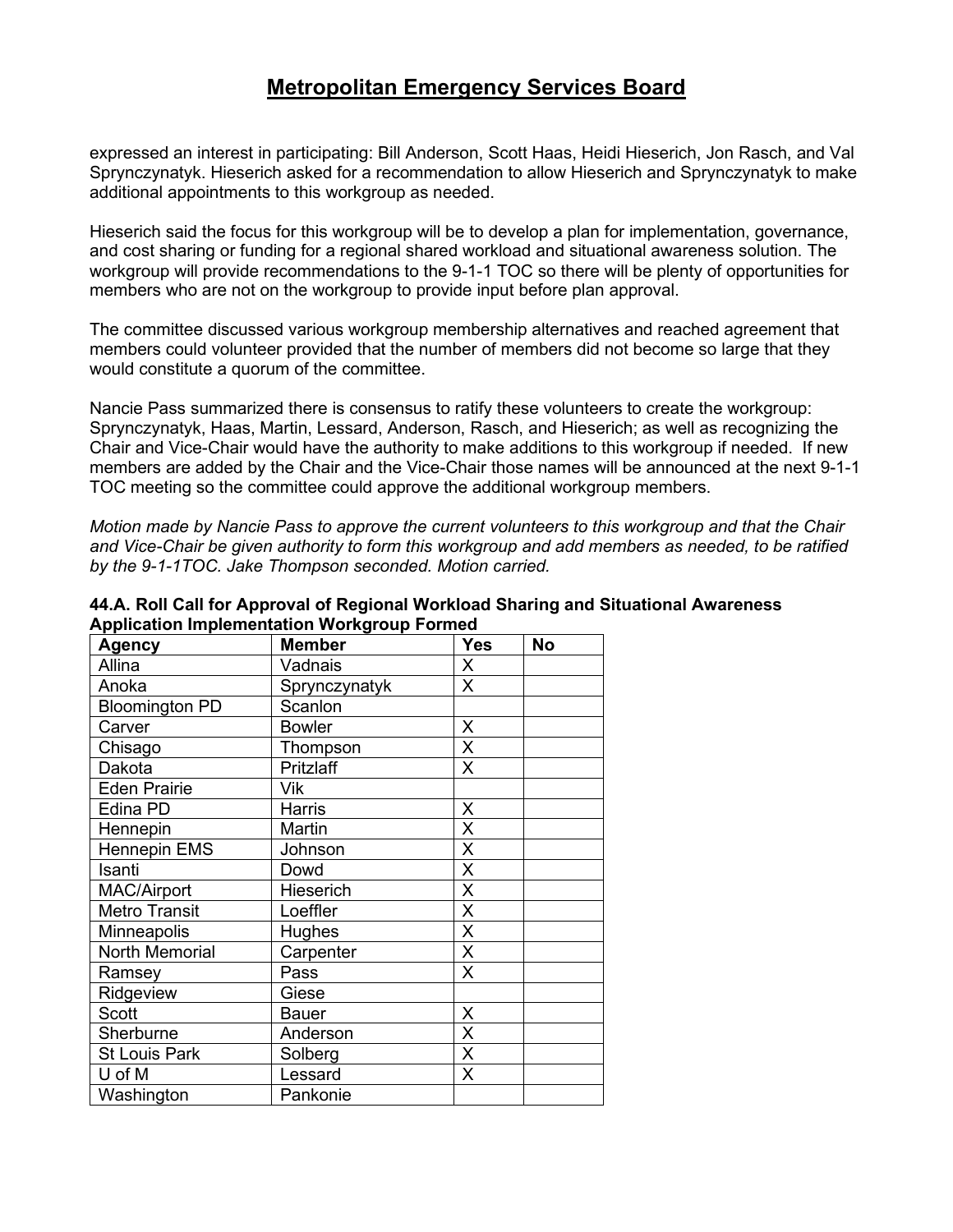expressed an interest in participating: Bill Anderson, Scott Haas, Heidi Hieserich, Jon Rasch, and Val Sprynczynatyk. Hieserich asked for a recommendation to allow Hieserich and Sprynczynatyk to make additional appointments to this workgroup as needed.

Hieserich said the focus for this workgroup will be to develop a plan for implementation, governance, and cost sharing or funding for a regional shared workload and situational awareness solution. The workgroup will provide recommendations to the 9-1-1 TOC so there will be plenty of opportunities for members who are not on the workgroup to provide input before plan approval.

The committee discussed various workgroup membership alternatives and reached agreement that members could volunteer provided that the number of members did not become so large that they would constitute a quorum of the committee.

Nancie Pass summarized there is consensus to ratify these volunteers to create the workgroup: Sprynczynatyk, Haas, Martin, Lessard, Anderson, Rasch, and Hieserich; as well as recognizing the Chair and Vice-Chair would have the authority to make additions to this workgroup if needed. If new members are added by the Chair and the Vice-Chair those names will be announced at the next 9-1-1 TOC meeting so the committee could approve the additional workgroup members.

*Motion made by Nancie Pass to approve the current volunteers to this workgroup and that the Chair and Vice-Chair be given authority to form this workgroup and add members as needed, to be ratified by the 9-1-1TOC. Jake Thompson seconded. Motion carried.*

| <b>Agency</b>         | <b>Member</b> | <b>Yes</b>         | <b>No</b> |
|-----------------------|---------------|--------------------|-----------|
| Allina                | Vadnais       | X                  |           |
| Anoka                 | Sprynczynatyk | $\mathsf{X}$       |           |
| <b>Bloomington PD</b> | Scanlon       |                    |           |
| Carver                | <b>Bowler</b> | X                  |           |
| Chisago               | Thompson      | X                  |           |
| Dakota                | Pritzlaff     | $\times$           |           |
| <b>Eden Prairie</b>   | Vik           |                    |           |
| Edina PD              | <b>Harris</b> | X                  |           |
| Hennepin              | Martin        | X                  |           |
| <b>Hennepin EMS</b>   | Johnson       | X                  |           |
| Isanti                | Dowd          | X                  |           |
| MAC/Airport           | Hieserich     | Χ                  |           |
| <b>Metro Transit</b>  | Loeffler      | X                  |           |
| Minneapolis           | <b>Hughes</b> | $\pmb{\mathsf{X}}$ |           |
| North Memorial        | Carpenter     | X                  |           |
| Ramsey                | Pass          | X                  |           |
| Ridgeview             | Giese         |                    |           |
| <b>Scott</b>          | <b>Bauer</b>  | X                  |           |
| Sherburne             | Anderson      | X                  |           |
| <b>St Louis Park</b>  | Solberg       | X                  |           |
| U of M                | Lessard       | X                  |           |
| Washington            | Pankonie      |                    |           |

**44.A. Roll Call for Approval of Regional Workload Sharing and Situational Awareness Application Implementation Workgroup Formed**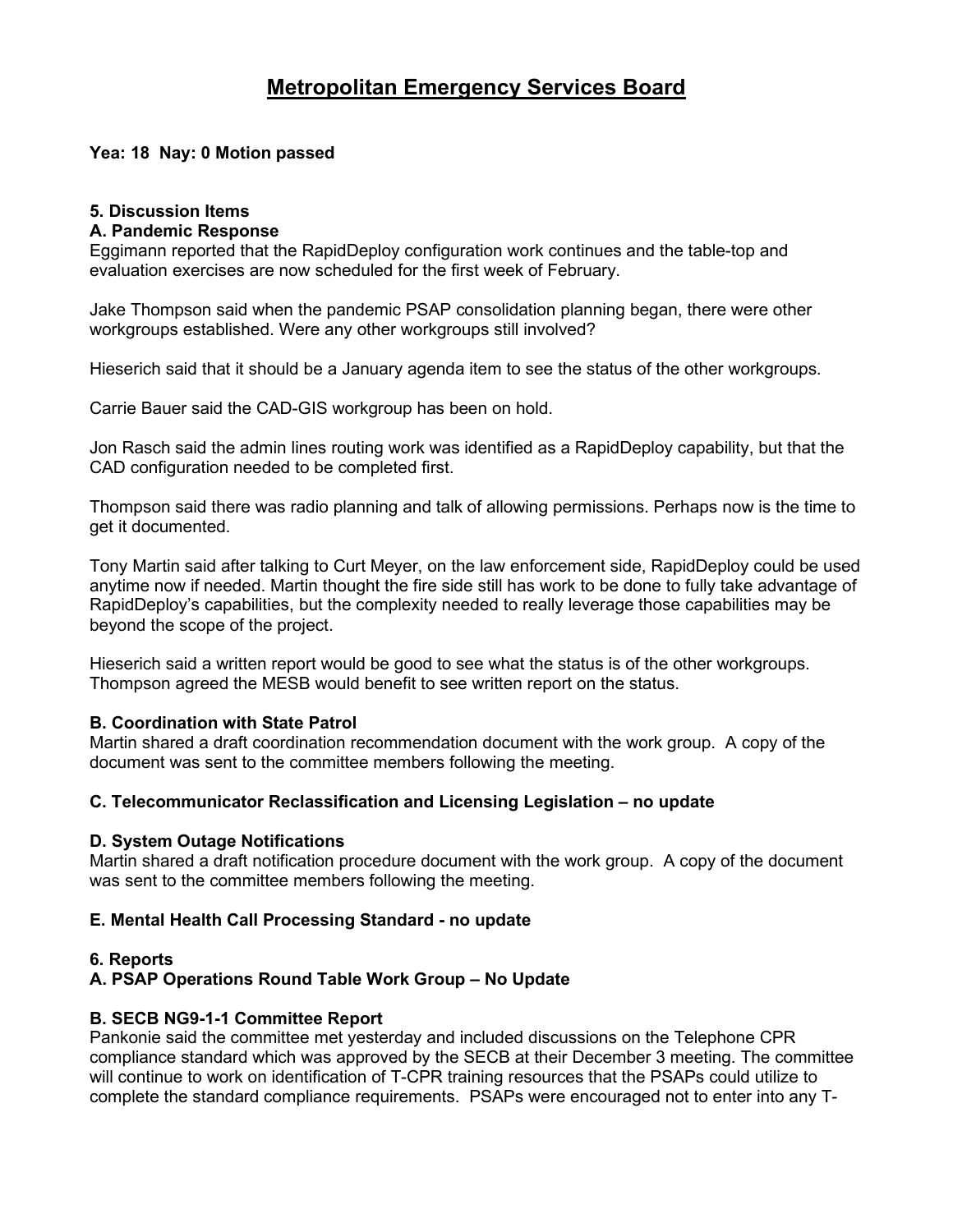#### **Yea: 18 Nay: 0 Motion passed**

#### **5. Discussion Items**

#### **A. Pandemic Response**

Eggimann reported that the RapidDeploy configuration work continues and the table-top and evaluation exercises are now scheduled for the first week of February.

Jake Thompson said when the pandemic PSAP consolidation planning began, there were other workgroups established. Were any other workgroups still involved?

Hieserich said that it should be a January agenda item to see the status of the other workgroups.

Carrie Bauer said the CAD-GIS workgroup has been on hold.

Jon Rasch said the admin lines routing work was identified as a RapidDeploy capability, but that the CAD configuration needed to be completed first.

Thompson said there was radio planning and talk of allowing permissions. Perhaps now is the time to get it documented.

Tony Martin said after talking to Curt Meyer, on the law enforcement side, RapidDeploy could be used anytime now if needed. Martin thought the fire side still has work to be done to fully take advantage of RapidDeploy's capabilities, but the complexity needed to really leverage those capabilities may be beyond the scope of the project.

Hieserich said a written report would be good to see what the status is of the other workgroups. Thompson agreed the MESB would benefit to see written report on the status.

#### **B. Coordination with State Patrol**

Martin shared a draft coordination recommendation document with the work group. A copy of the document was sent to the committee members following the meeting.

#### **C. Telecommunicator Reclassification and Licensing Legislation – no update**

#### **D. System Outage Notifications**

Martin shared a draft notification procedure document with the work group. A copy of the document was sent to the committee members following the meeting.

#### **E. Mental Health Call Processing Standard - no update**

#### **6. Reports**

#### **A. PSAP Operations Round Table Work Group – No Update**

#### **B. SECB NG9-1-1 Committee Report**

Pankonie said the committee met yesterday and included discussions on the Telephone CPR compliance standard which was approved by the SECB at their December 3 meeting. The committee will continue to work on identification of T-CPR training resources that the PSAPs could utilize to complete the standard compliance requirements. PSAPs were encouraged not to enter into any T-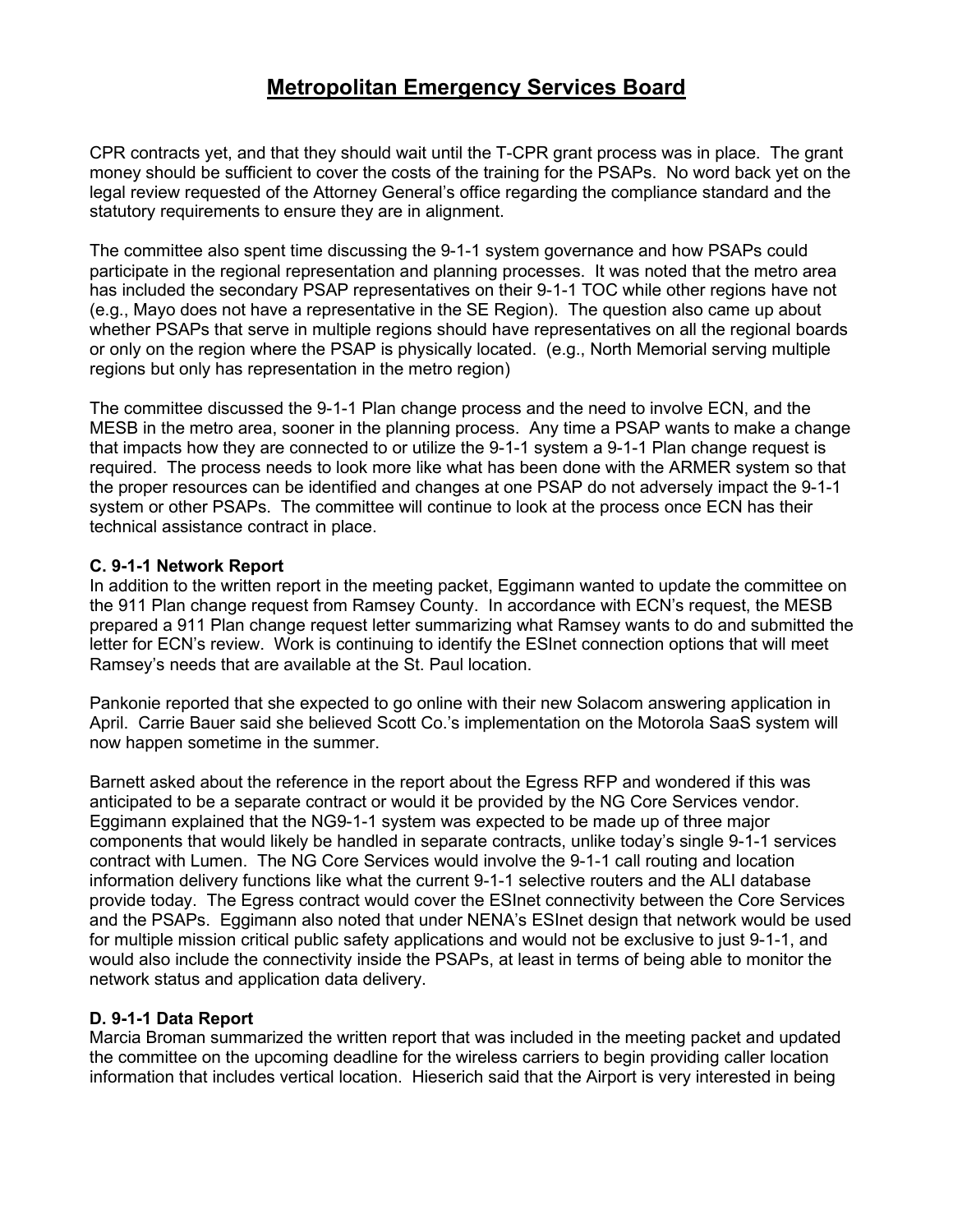CPR contracts yet, and that they should wait until the T-CPR grant process was in place. The grant money should be sufficient to cover the costs of the training for the PSAPs. No word back yet on the legal review requested of the Attorney General's office regarding the compliance standard and the statutory requirements to ensure they are in alignment.

The committee also spent time discussing the 9-1-1 system governance and how PSAPs could participate in the regional representation and planning processes. It was noted that the metro area has included the secondary PSAP representatives on their 9-1-1 TOC while other regions have not (e.g., Mayo does not have a representative in the SE Region). The question also came up about whether PSAPs that serve in multiple regions should have representatives on all the regional boards or only on the region where the PSAP is physically located. (e.g., North Memorial serving multiple regions but only has representation in the metro region)

The committee discussed the 9-1-1 Plan change process and the need to involve ECN, and the MESB in the metro area, sooner in the planning process. Any time a PSAP wants to make a change that impacts how they are connected to or utilize the 9-1-1 system a 9-1-1 Plan change request is required. The process needs to look more like what has been done with the ARMER system so that the proper resources can be identified and changes at one PSAP do not adversely impact the 9-1-1 system or other PSAPs. The committee will continue to look at the process once ECN has their technical assistance contract in place.

#### **C. 9-1-1 Network Report**

In addition to the written report in the meeting packet, Eggimann wanted to update the committee on the 911 Plan change request from Ramsey County. In accordance with ECN's request, the MESB prepared a 911 Plan change request letter summarizing what Ramsey wants to do and submitted the letter for ECN's review. Work is continuing to identify the ESInet connection options that will meet Ramsey's needs that are available at the St. Paul location.

Pankonie reported that she expected to go online with their new Solacom answering application in April. Carrie Bauer said she believed Scott Co.'s implementation on the Motorola SaaS system will now happen sometime in the summer.

Barnett asked about the reference in the report about the Egress RFP and wondered if this was anticipated to be a separate contract or would it be provided by the NG Core Services vendor. Eggimann explained that the NG9-1-1 system was expected to be made up of three major components that would likely be handled in separate contracts, unlike today's single 9-1-1 services contract with Lumen. The NG Core Services would involve the 9-1-1 call routing and location information delivery functions like what the current 9-1-1 selective routers and the ALI database provide today. The Egress contract would cover the ESInet connectivity between the Core Services and the PSAPs. Eggimann also noted that under NENA's ESInet design that network would be used for multiple mission critical public safety applications and would not be exclusive to just 9-1-1, and would also include the connectivity inside the PSAPs, at least in terms of being able to monitor the network status and application data delivery.

#### **D. 9-1-1 Data Report**

Marcia Broman summarized the written report that was included in the meeting packet and updated the committee on the upcoming deadline for the wireless carriers to begin providing caller location information that includes vertical location. Hieserich said that the Airport is very interested in being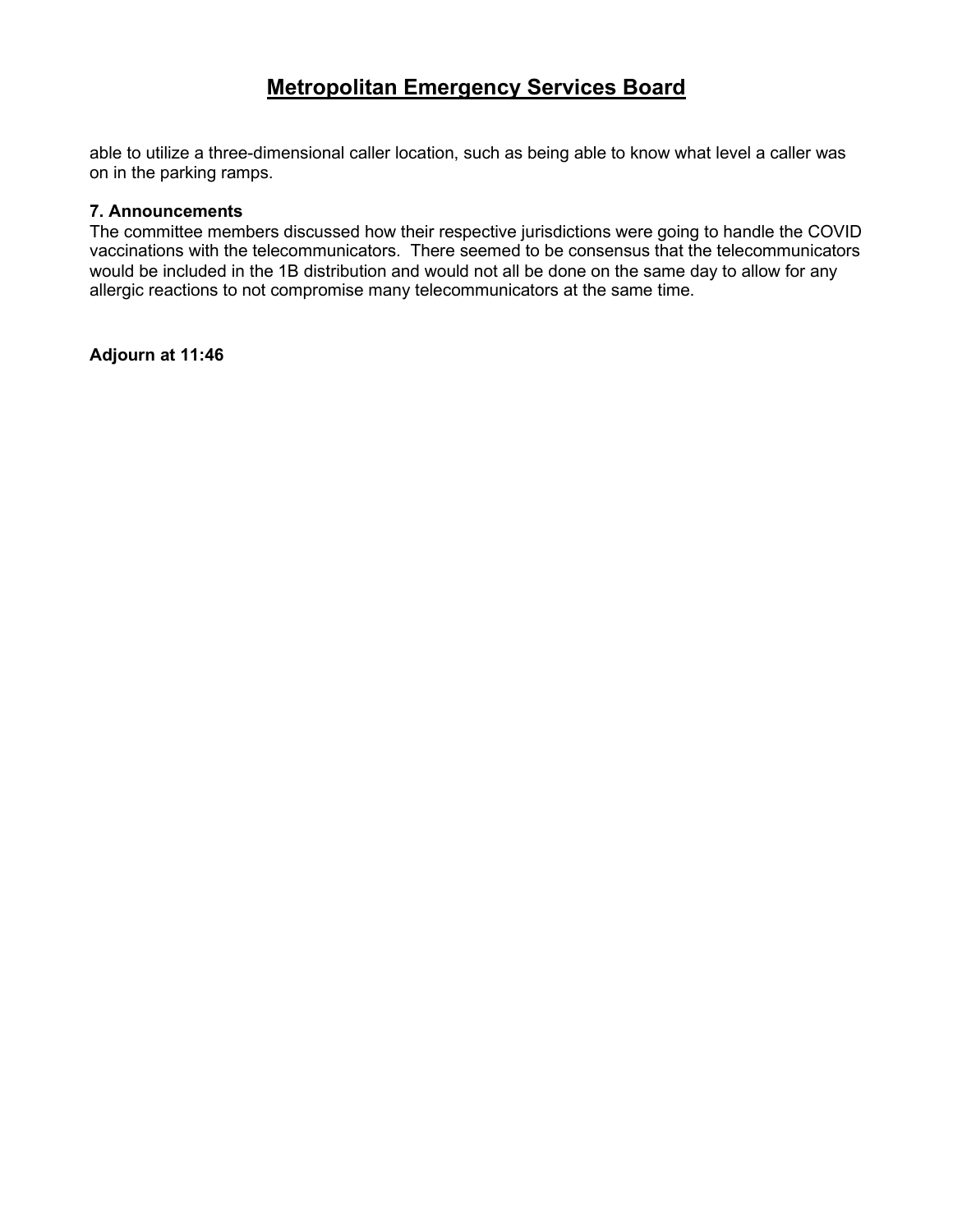able to utilize a three-dimensional caller location, such as being able to know what level a caller was on in the parking ramps.

#### **7. Announcements**

The committee members discussed how their respective jurisdictions were going to handle the COVID vaccinations with the telecommunicators. There seemed to be consensus that the telecommunicators would be included in the 1B distribution and would not all be done on the same day to allow for any allergic reactions to not compromise many telecommunicators at the same time.

**Adjourn at 11:46**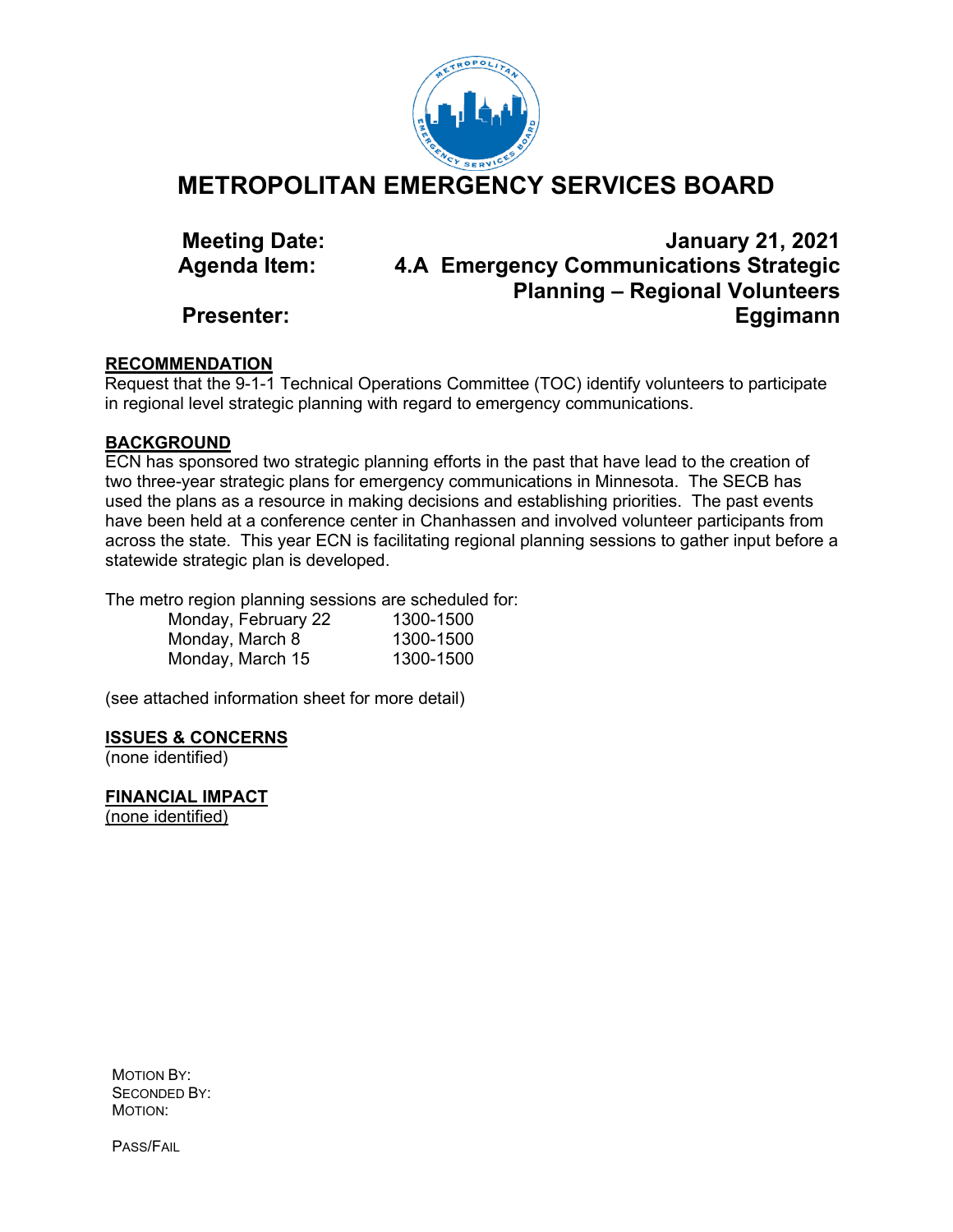

#### **METROPOLITAN EMERGENCY SERVICES BOARD**

**Meeting Date: January 21, 2021 Agenda Item: 4.A Emergency Communications Strategic Planning – Regional Volunteers Presenter: Eggimann**

#### **RECOMMENDATION**

Request that the 9-1-1 Technical Operations Committee (TOC) identify volunteers to participate in regional level strategic planning with regard to emergency communications.

#### **BACKGROUND**

ECN has sponsored two strategic planning efforts in the past that have lead to the creation of two three-year strategic plans for emergency communications in Minnesota. The SECB has used the plans as a resource in making decisions and establishing priorities. The past events have been held at a conference center in Chanhassen and involved volunteer participants from across the state. This year ECN is facilitating regional planning sessions to gather input before a statewide strategic plan is developed.

The metro region planning sessions are scheduled for:

| Monday, February 22 | 1300-1500 |
|---------------------|-----------|
| Monday, March 8     | 1300-1500 |
| Monday, March 15    | 1300-1500 |

(see attached information sheet for more detail)

#### **ISSUES & CONCERNS**

(none identified)

**FINANCIAL IMPACT**

(none identified)

MOTION BY: SECONDED BY: MOTION:

PASS/FAIL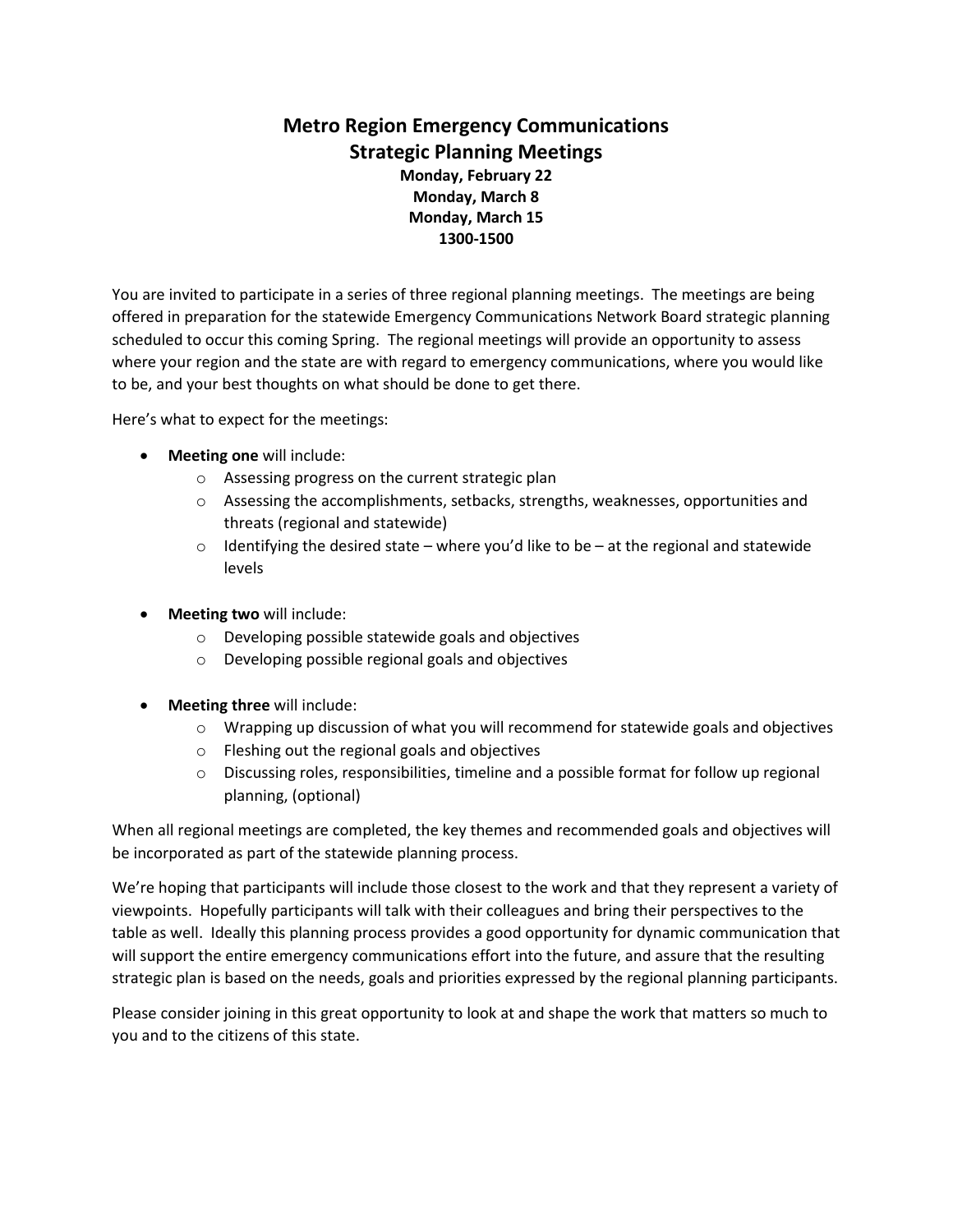#### **Metro Region Emergency Communications Strategic Planning Meetings**

**Monday, February 22 Monday, March 8 Monday, March 15 1300-1500**

You are invited to participate in a series of three regional planning meetings. The meetings are being offered in preparation for the statewide Emergency Communications Network Board strategic planning scheduled to occur this coming Spring. The regional meetings will provide an opportunity to assess where your region and the state are with regard to emergency communications, where you would like to be, and your best thoughts on what should be done to get there.

Here's what to expect for the meetings:

- **Meeting one** will include:
	- o Assessing progress on the current strategic plan
	- $\circ$  Assessing the accomplishments, setbacks, strengths, weaknesses, opportunities and threats (regional and statewide)
	- $\circ$  Identifying the desired state where you'd like to be at the regional and statewide levels
- **Meeting two** will include:
	- o Developing possible statewide goals and objectives
	- o Developing possible regional goals and objectives
- **Meeting three** will include:
	- $\circ$  Wrapping up discussion of what you will recommend for statewide goals and objectives
	- o Fleshing out the regional goals and objectives
	- $\circ$  Discussing roles, responsibilities, timeline and a possible format for follow up regional planning, (optional)

When all regional meetings are completed, the key themes and recommended goals and objectives will be incorporated as part of the statewide planning process.

We're hoping that participants will include those closest to the work and that they represent a variety of viewpoints. Hopefully participants will talk with their colleagues and bring their perspectives to the table as well. Ideally this planning process provides a good opportunity for dynamic communication that will support the entire emergency communications effort into the future, and assure that the resulting strategic plan is based on the needs, goals and priorities expressed by the regional planning participants.

Please consider joining in this great opportunity to look at and shape the work that matters so much to you and to the citizens of this state.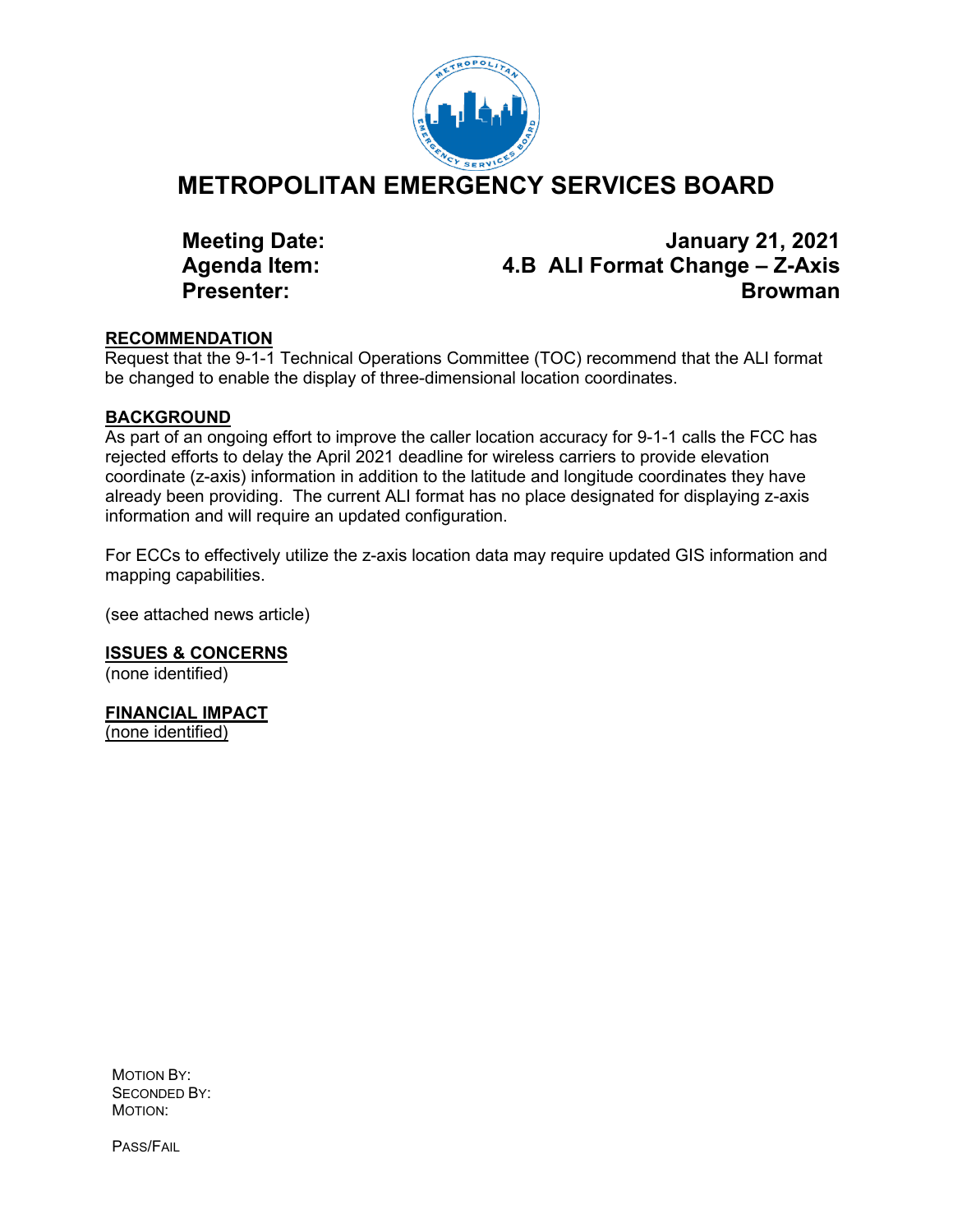

#### **METROPOLITAN EMERGENCY SERVICES BOARD**

**Meeting Date: January 21, 2021 Agenda Item: 4.B ALI Format Change – Z-Axis Presenter: Browman** 

#### **RECOMMENDATION**

Request that the 9-1-1 Technical Operations Committee (TOC) recommend that the ALI format be changed to enable the display of three-dimensional location coordinates.

#### **BACKGROUND**

As part of an ongoing effort to improve the caller location accuracy for 9-1-1 calls the FCC has rejected efforts to delay the April 2021 deadline for wireless carriers to provide elevation coordinate (z-axis) information in addition to the latitude and longitude coordinates they have already been providing. The current ALI format has no place designated for displaying z-axis information and will require an updated configuration.

For ECCs to effectively utilize the z-axis location data may require updated GIS information and mapping capabilities.

(see attached news article)

**ISSUES & CONCERNS** (none identified)

**FINANCIAL IMPACT**

(none identified)

MOTION BY: SECONDED BY: MOTION:

PASS/FAIL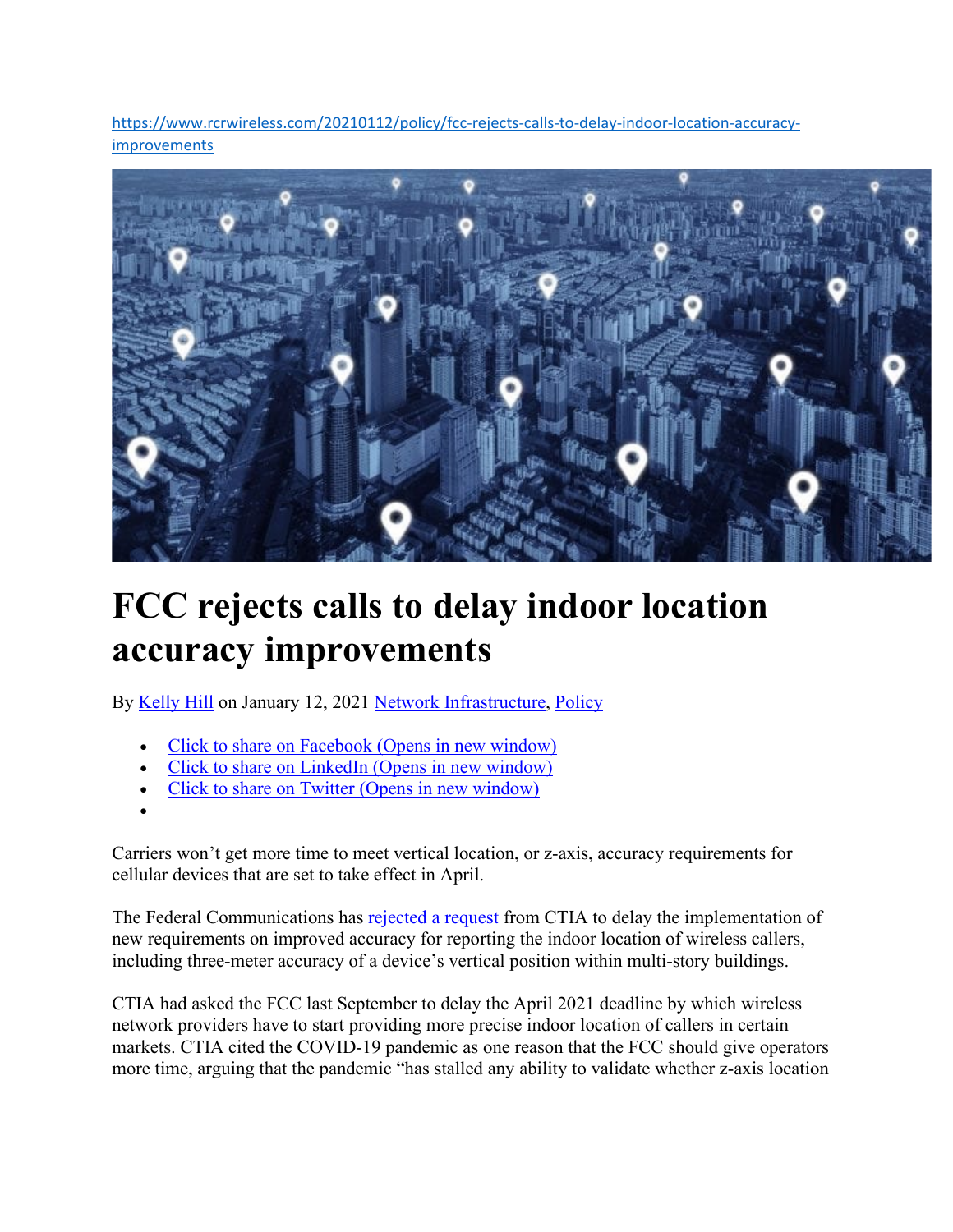[https://www.rcrwireless.com/20210112/policy/fcc-rejects-calls-to-delay-indoor-location-accuracy](https://www.rcrwireless.com/20210112/policy/fcc-rejects-calls-to-delay-indoor-location-accuracy-improvements)[improvements](https://www.rcrwireless.com/20210112/policy/fcc-rejects-calls-to-delay-indoor-location-accuracy-improvements)



## **FCC rejects calls to delay indoor location accuracy improvements**

By [Kelly Hill](https://www.rcrwireless.com/author/khill) on January 12, 2021 [Network Infrastructure,](https://www.rcrwireless.com/network-infrastructure) [Policy](https://www.rcrwireless.com/policy)

- [Click to share on Facebook \(Opens in new window\)](https://www.rcrwireless.com/20210112/policy/fcc-rejects-calls-to-delay-indoor-location-accuracy-improvements?share=facebook&nb=1)
- [Click to share on LinkedIn \(Opens in new window\)](https://www.rcrwireless.com/20210112/policy/fcc-rejects-calls-to-delay-indoor-location-accuracy-improvements?share=linkedin&nb=1)
- [Click to share on Twitter \(Opens in new window\)](https://www.rcrwireless.com/20210112/policy/fcc-rejects-calls-to-delay-indoor-location-accuracy-improvements?share=twitter&nb=1)
- •

Carriers won't get more time to meet vertical location, or z-axis, accuracy requirements for cellular devices that are set to take effect in April.

The Federal Communications has [rejected a request](https://www.fcc.gov/document/wireless-e911-location-accuracy-reconsideration-order) from CTIA to delay the implementation of new requirements on improved accuracy for reporting the indoor location of wireless callers, including three-meter accuracy of a device's vertical position within multi-story buildings.

CTIA had asked the FCC last September to delay the April 2021 deadline by which wireless network providers have to start providing more precise indoor location of callers in certain markets. CTIA cited the COVID-19 pandemic as one reason that the FCC should give operators more time, arguing that the pandemic "has stalled any ability to validate whether z-axis location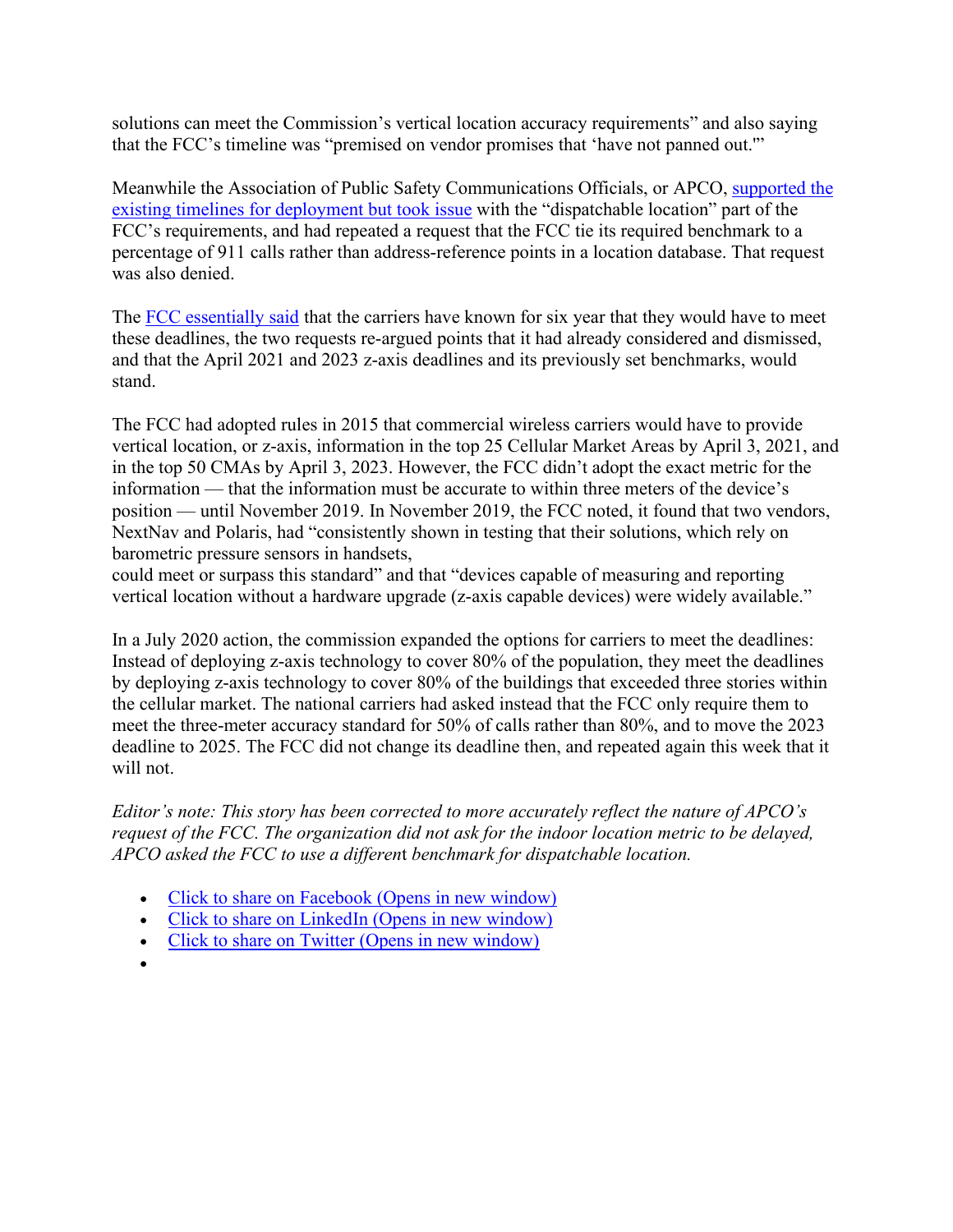solutions can meet the Commission's vertical location accuracy requirements" and also saying that the FCC's timeline was "premised on vendor promises that 'have not panned out.'"

Meanwhile the Association of Public Safety Communications Officials, or APCO, [supported the](https://ecfsapi.fcc.gov/file/110257715989/Joint%20Comments%20on%20911%20Location%20Petitions.pdf)  [existing timelines for deployment but took issue](https://ecfsapi.fcc.gov/file/110257715989/Joint%20Comments%20on%20911%20Location%20Petitions.pdf) with the "dispatchable location" part of the FCC's requirements, and had repeated a request that the FCC tie its required benchmark to a percentage of 911 calls rather than address-reference points in a location database. That request was also denied.

The [FCC essentially said](https://docs.fcc.gov/public/attachments/FCC-21-11A1.pdf) that the carriers have known for six year that they would have to meet these deadlines, the two requests re-argued points that it had already considered and dismissed, and that the April 2021 and 2023 z-axis deadlines and its previously set benchmarks, would stand.

The FCC had adopted rules in 2015 that commercial wireless carriers would have to provide vertical location, or z-axis, information in the top 25 Cellular Market Areas by April 3, 2021, and in the top 50 CMAs by April 3, 2023. However, the FCC didn't adopt the exact metric for the information — that the information must be accurate to within three meters of the device's position — until November 2019. In November 2019, the FCC noted, it found that two vendors, NextNav and Polaris, had "consistently shown in testing that their solutions, which rely on barometric pressure sensors in handsets,

could meet or surpass this standard" and that "devices capable of measuring and reporting vertical location without a hardware upgrade (z-axis capable devices) were widely available."

In a July 2020 action, the commission expanded the options for carriers to meet the deadlines: Instead of deploying z-axis technology to cover 80% of the population, they meet the deadlines by deploying z-axis technology to cover 80% of the buildings that exceeded three stories within the cellular market. The national carriers had asked instead that the FCC only require them to meet the three-meter accuracy standard for 50% of calls rather than 80%, and to move the 2023 deadline to 2025. The FCC did not change its deadline then, and repeated again this week that it will not.

*Editor's note: This story has been corrected to more accurately reflect the nature of APCO's request of the FCC. The organization did not ask for the indoor location metric to be delayed, APCO asked the FCC to use a differen*t *benchmark for dispatchable location.* 

- [Click to share on Facebook \(Opens in new window\)](https://www.rcrwireless.com/20210112/policy/fcc-rejects-calls-to-delay-indoor-location-accuracy-improvements?share=facebook&nb=1)
- [Click to share on LinkedIn \(Opens in new window\)](https://www.rcrwireless.com/20210112/policy/fcc-rejects-calls-to-delay-indoor-location-accuracy-improvements?share=linkedin&nb=1)
- [Click to share on Twitter \(Opens in new window\)](https://www.rcrwireless.com/20210112/policy/fcc-rejects-calls-to-delay-indoor-location-accuracy-improvements?share=twitter&nb=1)
- •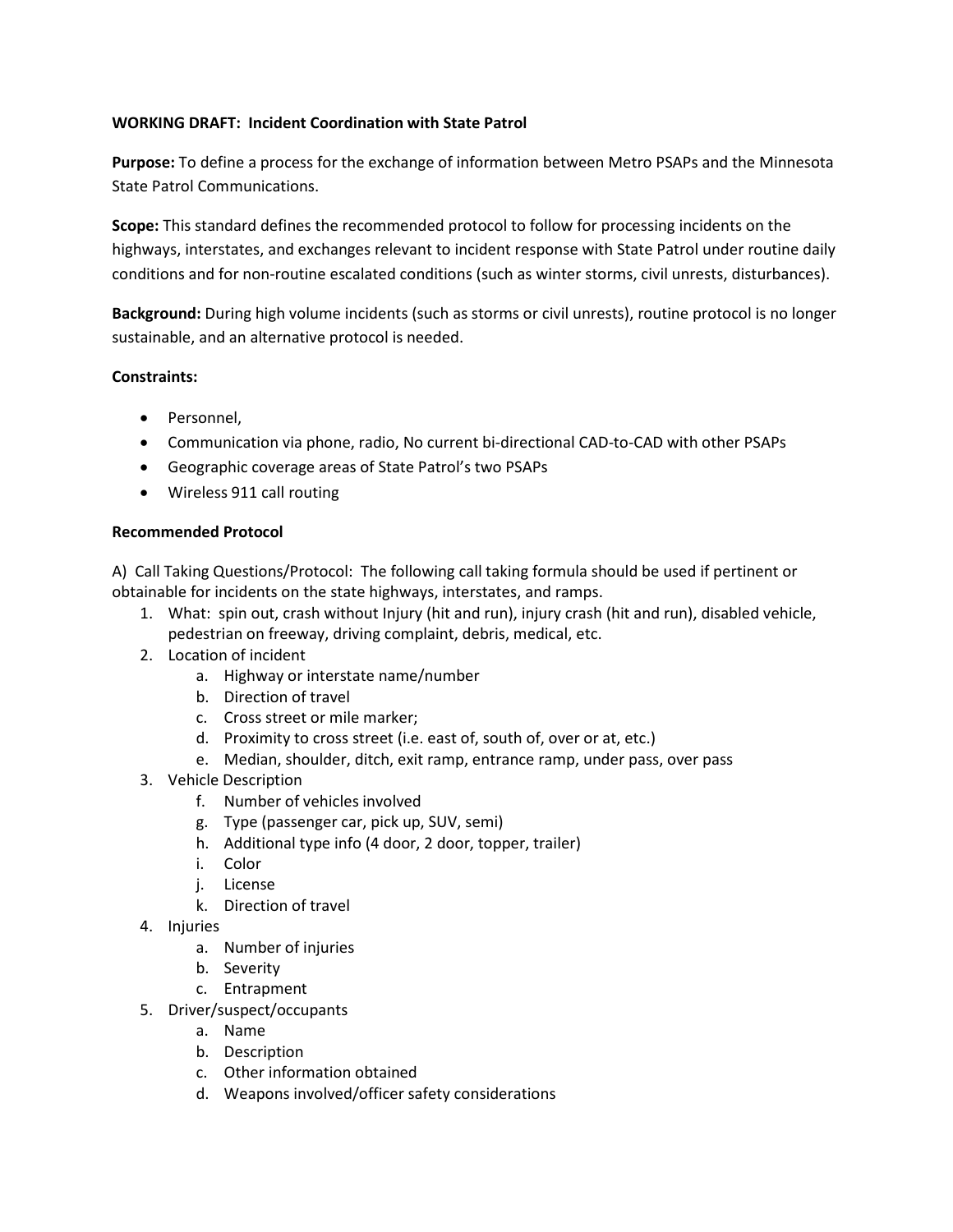#### **WORKING DRAFT: Incident Coordination with State Patrol**

**Purpose:** To define a process for the exchange of information between Metro PSAPs and the Minnesota State Patrol Communications.

**Scope:** This standard defines the recommended protocol to follow for processing incidents on the highways, interstates, and exchanges relevant to incident response with State Patrol under routine daily conditions and for non-routine escalated conditions (such as winter storms, civil unrests, disturbances).

**Background:** During high volume incidents (such as storms or civil unrests), routine protocol is no longer sustainable, and an alternative protocol is needed.

#### **Constraints:**

- Personnel,
- Communication via phone, radio, No current bi-directional CAD-to-CAD with other PSAPs
- Geographic coverage areas of State Patrol's two PSAPs
- Wireless 911 call routing

#### **Recommended Protocol**

A) Call Taking Questions/Protocol: The following call taking formula should be used if pertinent or obtainable for incidents on the state highways, interstates, and ramps.

- 1. What: spin out, crash without Injury (hit and run), injury crash (hit and run), disabled vehicle, pedestrian on freeway, driving complaint, debris, medical, etc.
- 2. Location of incident
	- a. Highway or interstate name/number
	- b. Direction of travel
	- c. Cross street or mile marker;
	- d. Proximity to cross street (i.e. east of, south of, over or at, etc.)
	- e. Median, shoulder, ditch, exit ramp, entrance ramp, under pass, over pass
- 3. Vehicle Description
	- f. Number of vehicles involved
	- g. Type (passenger car, pick up, SUV, semi)
	- h. Additional type info (4 door, 2 door, topper, trailer)
	- i. Color
	- j. License
	- k. Direction of travel
- 4. Injuries
	- a. Number of injuries
	- b. Severity
	- c. Entrapment
- 5. Driver/suspect/occupants
	- a. Name
	- b. Description
	- c. Other information obtained
	- d. Weapons involved/officer safety considerations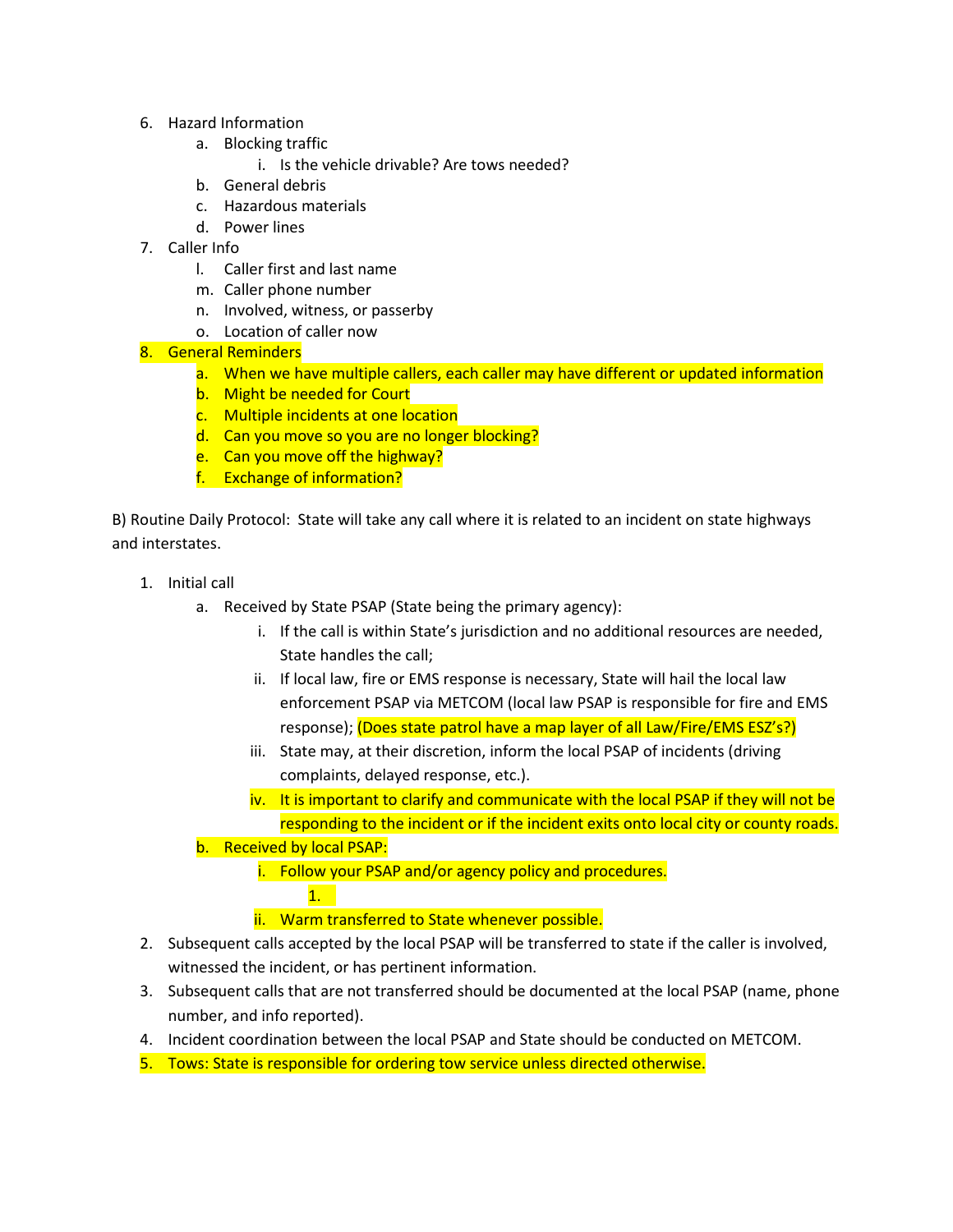- 6. Hazard Information
	- a. Blocking traffic
		- i. Is the vehicle drivable? Are tows needed?
	- b. General debris
	- c. Hazardous materials
	- d. Power lines
- 7. Caller Info
	- l. Caller first and last name
	- m. Caller phone number
	- n. Involved, witness, or passerby
	- o. Location of caller now

#### 8. General Reminders

- a. When we have multiple callers, each caller may have different or updated information
- b. Might be needed for Court
- c. Multiple incidents at one location
- d. Can you move so you are no longer blocking?
- e. Can you move off the highway?
- f. Exchange of information?

B) Routine Daily Protocol: State will take any call where it is related to an incident on state highways and interstates.

- 1. Initial call
	- a. Received by State PSAP (State being the primary agency):
		- i. If the call is within State's jurisdiction and no additional resources are needed, State handles the call;
		- ii. If local law, fire or EMS response is necessary, State will hail the local law enforcement PSAP via METCOM (local law PSAP is responsible for fire and EMS response); (Does state patrol have a map layer of all Law/Fire/EMS ESZ's?)
		- iii. State may, at their discretion, inform the local PSAP of incidents (driving complaints, delayed response, etc.).
		- iv. It is important to clarify and communicate with the local PSAP if they will not be responding to the incident or if the incident exits onto local city or county roads.
	- b. Received by local PSAP:

1.

i. Follow your PSAP and/or agency policy and procedures.

#### ii. Warm transferred to State whenever possible.

- 2. Subsequent calls accepted by the local PSAP will be transferred to state if the caller is involved, witnessed the incident, or has pertinent information.
- 3. Subsequent calls that are not transferred should be documented at the local PSAP (name, phone number, and info reported).
- 4. Incident coordination between the local PSAP and State should be conducted on METCOM.
- 5. Tows: State is responsible for ordering tow service unless directed otherwise.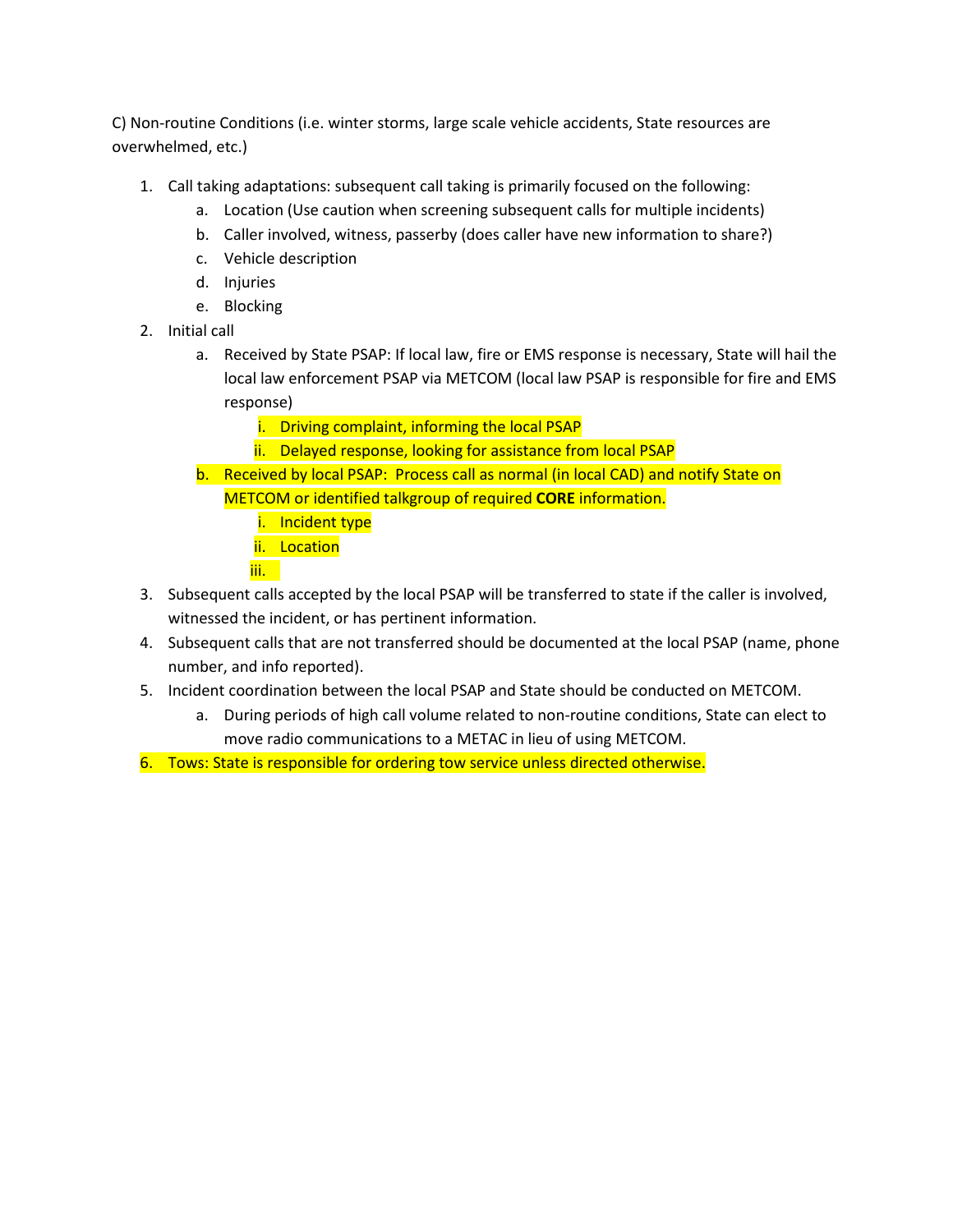C) Non-routine Conditions (i.e. winter storms, large scale vehicle accidents, State resources are overwhelmed, etc.)

- 1. Call taking adaptations: subsequent call taking is primarily focused on the following:
	- a. Location (Use caution when screening subsequent calls for multiple incidents)
	- b. Caller involved, witness, passerby (does caller have new information to share?)
	- c. Vehicle description
	- d. Injuries
	- e. Blocking
- 2. Initial call
	- a. Received by State PSAP: If local law, fire or EMS response is necessary, State will hail the local law enforcement PSAP via METCOM (local law PSAP is responsible for fire and EMS response)
		- i. Driving complaint, informing the local PSAP
		- ii. Delayed response, looking for assistance from local PSAP
	- b. Received by local PSAP: Process call as normal (in local CAD) and notify State on METCOM or identified talkgroup of required **CORE** information.
		- i. Incident type
		- ii. Location
		- iii.
- 3. Subsequent calls accepted by the local PSAP will be transferred to state if the caller is involved, witnessed the incident, or has pertinent information.
- 4. Subsequent calls that are not transferred should be documented at the local PSAP (name, phone number, and info reported).
- 5. Incident coordination between the local PSAP and State should be conducted on METCOM.
	- a. During periods of high call volume related to non-routine conditions, State can elect to move radio communications to a METAC in lieu of using METCOM.
- 6. Tows: State is responsible for ordering tow service unless directed otherwise.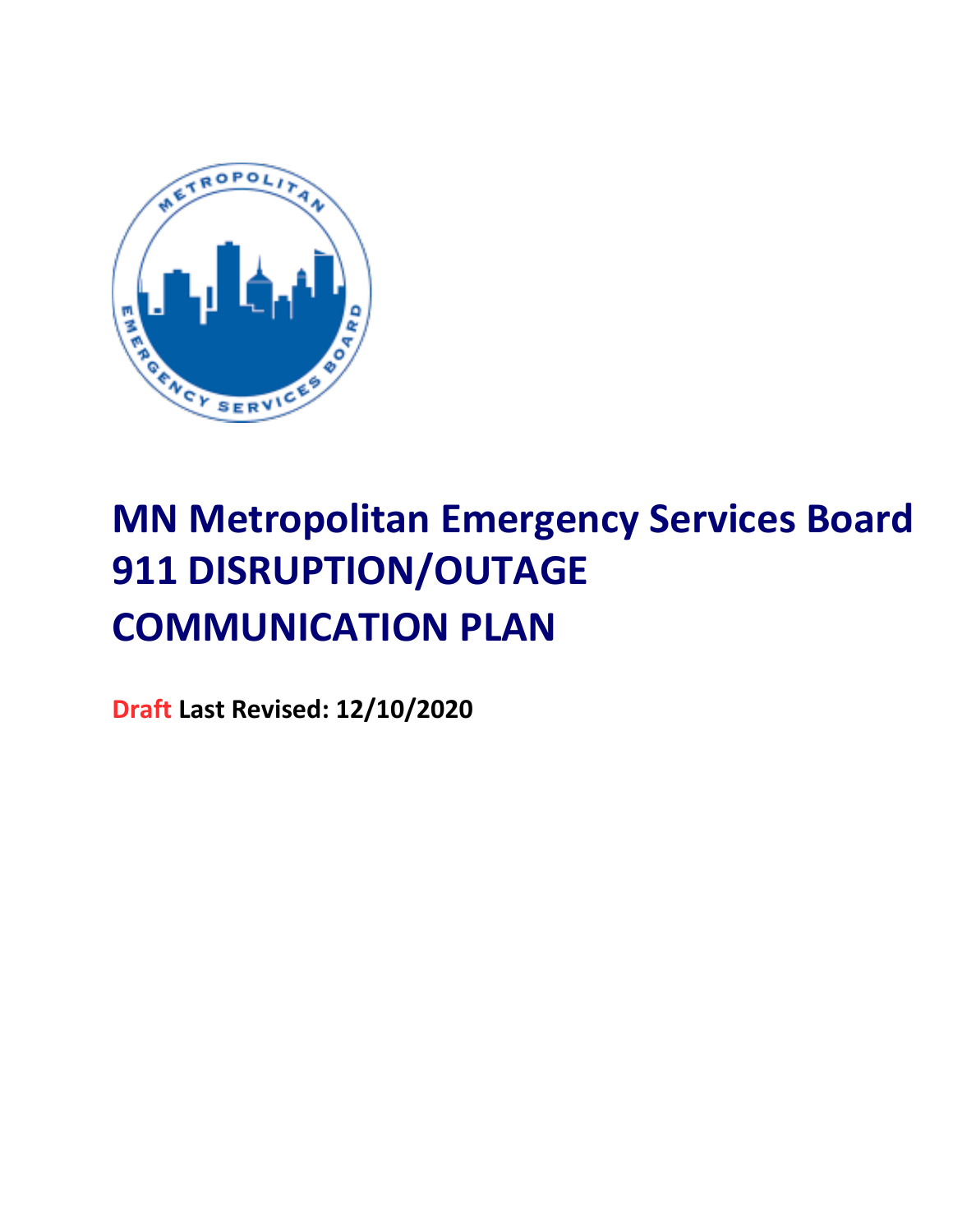

## **MN Metropolitan Emergency Services Board 911 DISRUPTION/OUTAGE COMMUNICATION PLAN**

**Draft Last Revised: 12/10/2020**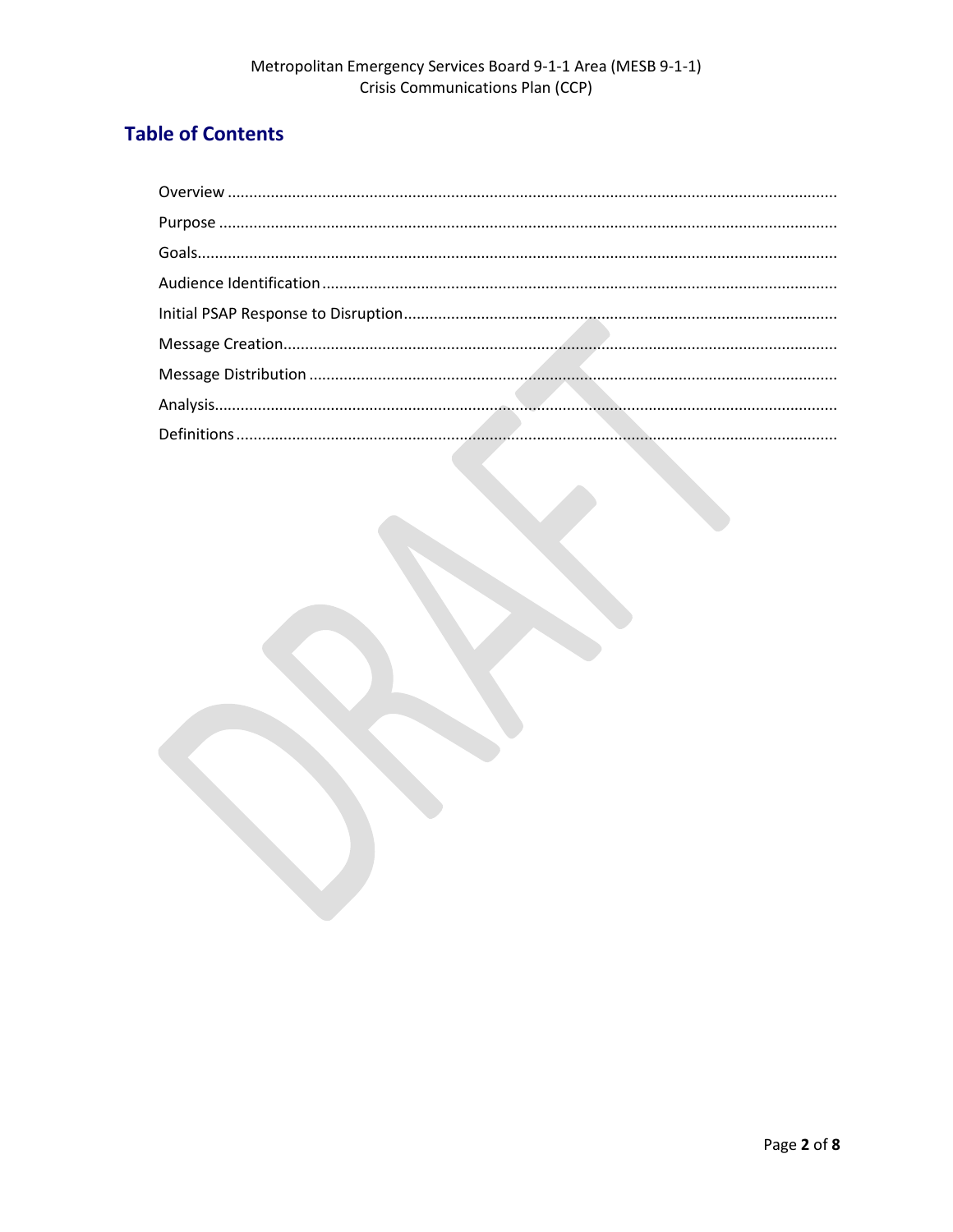#### **Table of Contents**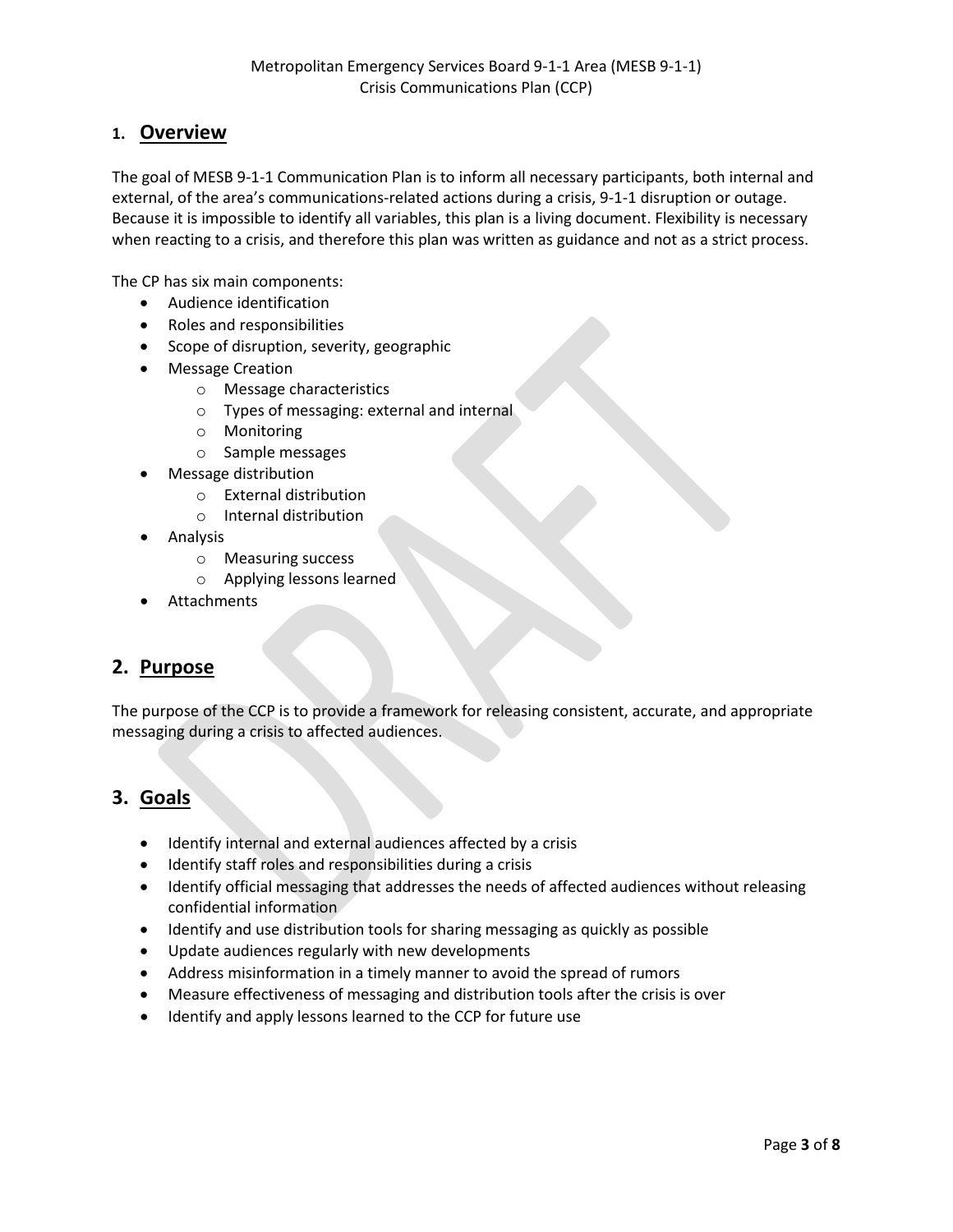#### **1. Overview**

The goal of MESB 9-1-1 Communication Plan is to inform all necessary participants, both internal and external, of the area's communications-related actions during a crisis, 9-1-1 disruption or outage. Because it is impossible to identify all variables, this plan is a living document. Flexibility is necessary when reacting to a crisis, and therefore this plan was written as guidance and not as a strict process.

The CP has six main components:

- Audience identification
- Roles and responsibilities
- Scope of disruption, severity, geographic
- Message Creation
	- o Message characteristics
	- o Types of messaging: external and internal
	- o Monitoring
	- o Sample messages
- Message distribution
	- o External distribution
	- o Internal distribution
- Analysis
	- o Measuring success
	- o Applying lessons learned
- **Attachments**

#### **2. Purpose**

The purpose of the CCP is to provide a framework for releasing consistent, accurate, and appropriate messaging during a crisis to affected audiences.

#### **3. Goals**

- Identify internal and external audiences affected by a crisis
- Identify staff roles and responsibilities during a crisis
- Identify official messaging that addresses the needs of affected audiences without releasing confidential information
- Identify and use distribution tools for sharing messaging as quickly as possible
- Update audiences regularly with new developments
- Address misinformation in a timely manner to avoid the spread of rumors
- Measure effectiveness of messaging and distribution tools after the crisis is over
- Identify and apply lessons learned to the CCP for future use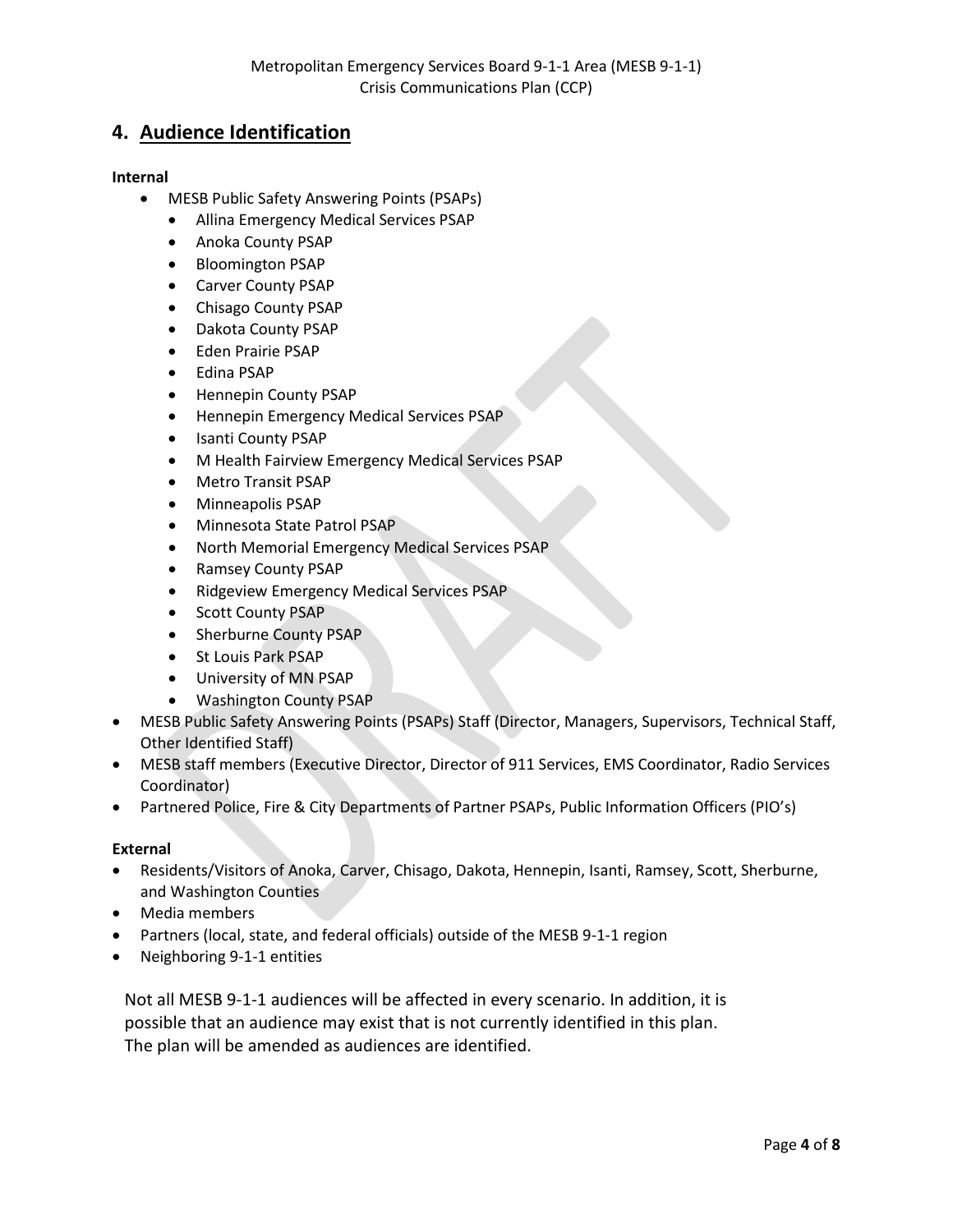#### **4. Audience Identification**

#### **Internal**

- MESB Public Safety Answering Points (PSAPs)
	- Allina Emergency Medical Services PSAP
	- Anoka County PSAP
	- Bloomington PSAP
	- Carver County PSAP
	- Chisago County PSAP
	- Dakota County PSAP
	- Eden Prairie PSAP
	- Edina PSAP
	- Hennepin County PSAP
	- Hennepin Emergency Medical Services PSAP
	- Isanti County PSAP
	- M Health Fairview Emergency Medical Services PSAP
	- Metro Transit PSAP
	- Minneapolis PSAP
	- Minnesota State Patrol PSAP
	- North Memorial Emergency Medical Services PSAP
	- Ramsey County PSAP
	- Ridgeview Emergency Medical Services PSAP
	- Scott County PSAP
	- Sherburne County PSAP
	- St Louis Park PSAP
	- University of MN PSAP
	- Washington County PSAP
- MESB Public Safety Answering Points (PSAPs) Staff (Director, Managers, Supervisors, Technical Staff, Other Identified Staff)
- MESB staff members (Executive Director, Director of 911 Services, EMS Coordinator, Radio Services Coordinator)
- Partnered Police, Fire & City Departments of Partner PSAPs, Public Information Officers (PIO's)

#### **External**

- Residents/Visitors of Anoka, Carver, Chisago, Dakota, Hennepin, Isanti, Ramsey, Scott, Sherburne, and Washington Counties
- Media members
- Partners (local, state, and federal officials) outside of the MESB 9-1-1 region
- Neighboring 9-1-1 entities

Not all MESB 9-1-1 audiences will be affected in every scenario. In addition, it is possible that an audience may exist that is not currently identified in this plan. The plan will be amended as audiences are identified.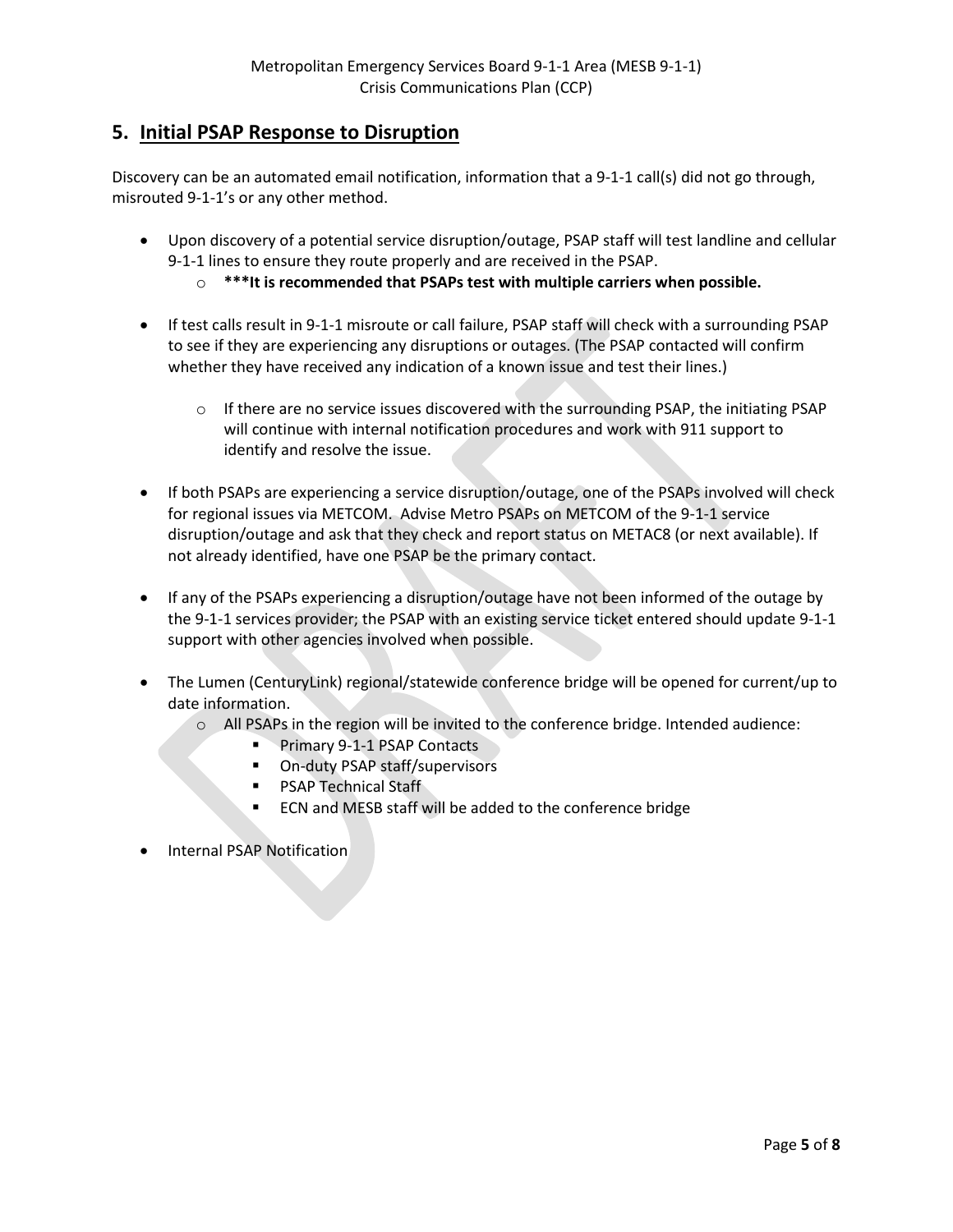#### **5. Initial PSAP Response to Disruption**

Discovery can be an automated email notification, information that a 9-1-1 call(s) did not go through, misrouted 9-1-1's or any other method.

- Upon discovery of a potential service disruption/outage, PSAP staff will test landline and cellular 9-1-1 lines to ensure they route properly and are received in the PSAP.
	- o **\*\*\*It is recommended that PSAPs test with multiple carriers when possible.**
- If test calls result in 9-1-1 misroute or call failure, PSAP staff will check with a surrounding PSAP to see if they are experiencing any disruptions or outages. (The PSAP contacted will confirm whether they have received any indication of a known issue and test their lines.)
	- o If there are no service issues discovered with the surrounding PSAP, the initiating PSAP will continue with internal notification procedures and work with 911 support to identify and resolve the issue.
- If both PSAPs are experiencing a service disruption/outage, one of the PSAPs involved will check for regional issues via METCOM. Advise Metro PSAPs on METCOM of the 9-1-1 service disruption/outage and ask that they check and report status on METAC8 (or next available). If not already identified, have one PSAP be the primary contact.
- If any of the PSAPs experiencing a disruption/outage have not been informed of the outage by the 9-1-1 services provider; the PSAP with an existing service ticket entered should update 9-1-1 support with other agencies involved when possible.
- The Lumen (CenturyLink) regional/statewide conference bridge will be opened for current/up to date information.
	- o All PSAPs in the region will be invited to the conference bridge. Intended audience:
		- Primary 9-1-1 PSAP Contacts
		- **•** On-duty PSAP staff/supervisors
		- **PSAP Technical Staff**
		- **ECN and MESB staff will be added to the conference bridge**
- Internal PSAP Notification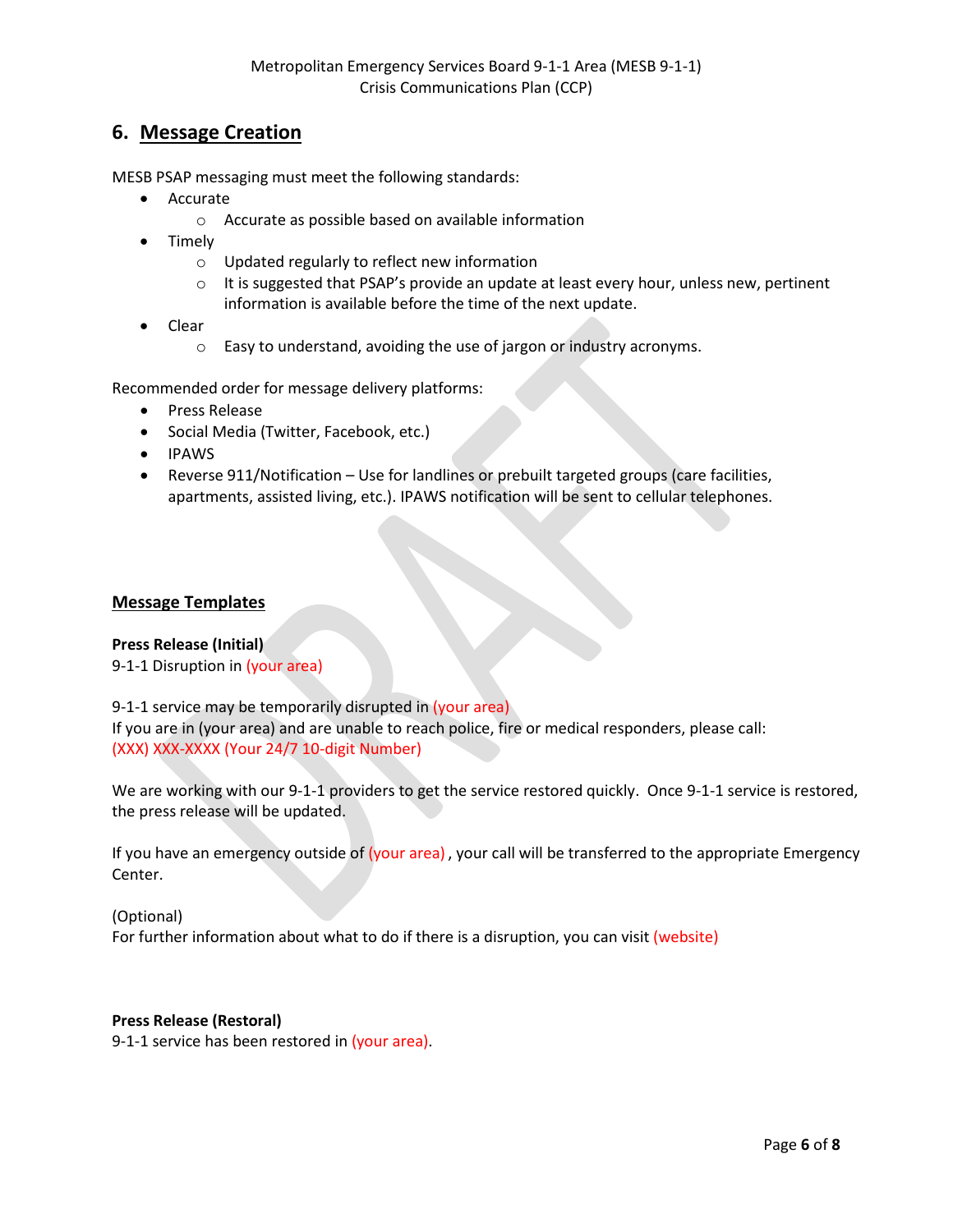#### **6. Message Creation**

MESB PSAP messaging must meet the following standards:

- Accurate
	- o Accurate as possible based on available information
- Timely
	- o Updated regularly to reflect new information
	- o It is suggested that PSAP's provide an update at least every hour, unless new, pertinent information is available before the time of the next update.
- Clear
	- o Easy to understand, avoiding the use of jargon or industry acronyms.

Recommended order for message delivery platforms:

- Press Release
- Social Media (Twitter, Facebook, etc.)
- IPAWS
- Reverse 911/Notification Use for landlines or prebuilt targeted groups (care facilities, apartments, assisted living, etc.). IPAWS notification will be sent to cellular telephones.

#### **Message Templates**

#### **Press Release (Initial)**

9-1-1 Disruption in (your area)

9-1-1 service may be temporarily disrupted in (your area)

If you are in (your area) and are unable to reach police, fire or medical responders, please call: (XXX) XXX-XXXX (Your 24/7 10-digit Number)

We are working with our 9-1-1 providers to get the service restored quickly. Once 9-1-1 service is restored, the press release will be updated.

If you have an emergency outside of (your area) , your call will be transferred to the appropriate Emergency Center.

(Optional)

For further information about what to do if there is a disruption, you can visit (website)

#### **Press Release (Restoral)**

9-1-1 service has been restored in (your area).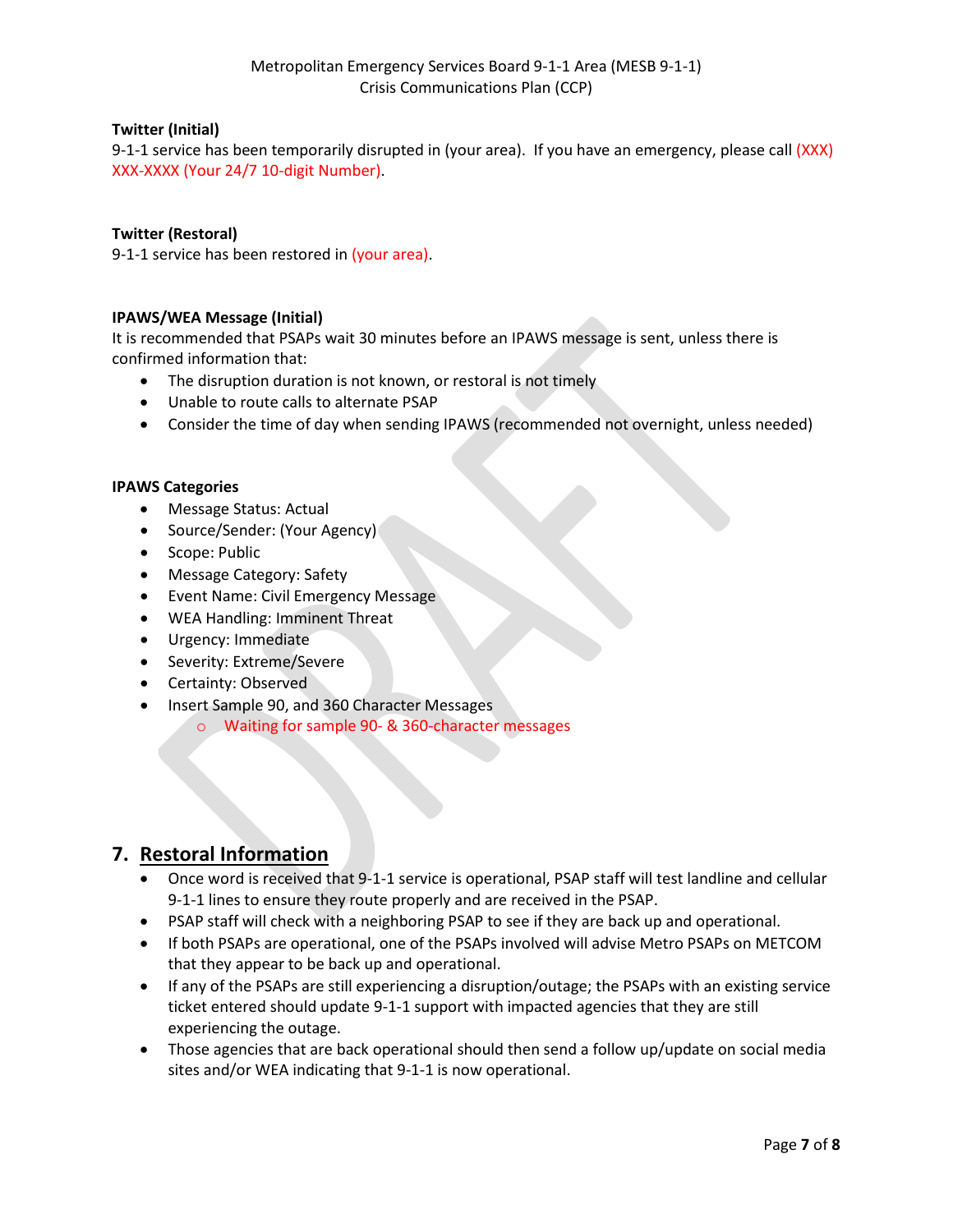#### **Twitter (Initial)**

9-1-1 service has been temporarily disrupted in (your area). If you have an emergency, please call (XXX) XXX-XXXX (Your 24/7 10-digit Number).

#### **Twitter (Restoral)**

9-1-1 service has been restored in (your area).

#### **IPAWS/WEA Message (Initial)**

It is recommended that PSAPs wait 30 minutes before an IPAWS message is sent, unless there is confirmed information that:

- The disruption duration is not known, or restoral is not timely
- Unable to route calls to alternate PSAP
- Consider the time of day when sending IPAWS (recommended not overnight, unless needed)

#### **IPAWS Categories**

- Message Status: Actual
- Source/Sender: (Your Agency)
- Scope: Public
- Message Category: Safety
- Event Name: Civil Emergency Message
- WEA Handling: Imminent Threat
- Urgency: Immediate
- Severity: Extreme/Severe
- Certainty: Observed
- Insert Sample 90, and 360 Character Messages
	- o Waiting for sample 90- & 360-character messages

#### **7. Restoral Information**

- Once word is received that 9-1-1 service is operational, PSAP staff will test landline and cellular 9-1-1 lines to ensure they route properly and are received in the PSAP.
- PSAP staff will check with a neighboring PSAP to see if they are back up and operational.
- If both PSAPs are operational, one of the PSAPs involved will advise Metro PSAPs on METCOM that they appear to be back up and operational.
- If any of the PSAPs are still experiencing a disruption/outage; the PSAPs with an existing service ticket entered should update 9-1-1 support with impacted agencies that they are still experiencing the outage.
- Those agencies that are back operational should then send a follow up/update on social media sites and/or WEA indicating that 9-1-1 is now operational.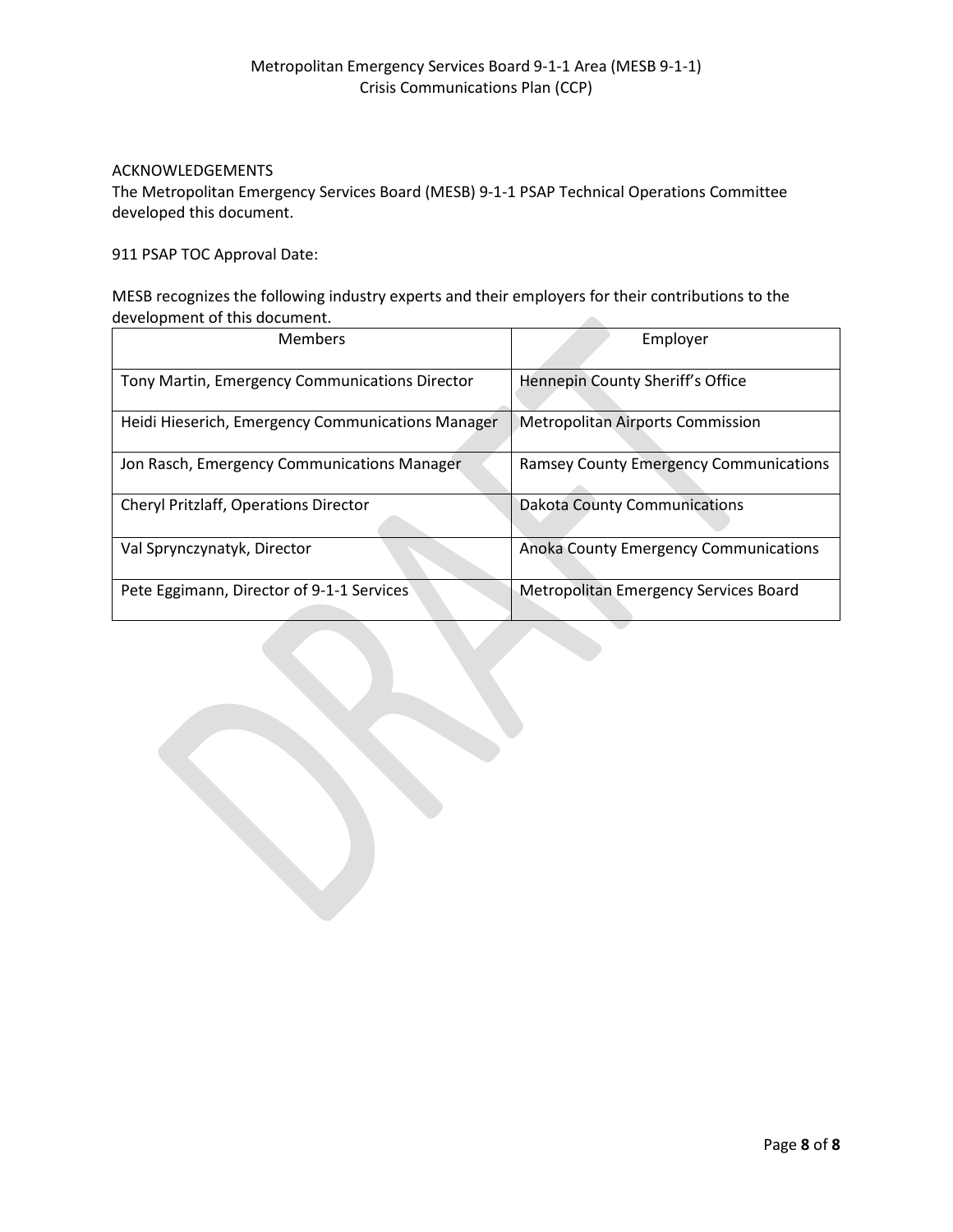#### ACKNOWLEDGEMENTS

The Metropolitan Emergency Services Board (MESB) 9-1-1 PSAP Technical Operations Committee developed this document.

911 PSAP TOC Approval Date:

MESB recognizes the following industry experts and their employers for their contributions to the development of this document. 

| <b>Members</b>                                    | Employer                                      |
|---------------------------------------------------|-----------------------------------------------|
| Tony Martin, Emergency Communications Director    | Hennepin County Sheriff's Office              |
| Heidi Hieserich, Emergency Communications Manager | <b>Metropolitan Airports Commission</b>       |
| Jon Rasch, Emergency Communications Manager       | <b>Ramsey County Emergency Communications</b> |
| <b>Cheryl Pritzlaff, Operations Director</b>      | <b>Dakota County Communications</b>           |
| Val Sprynczynatyk, Director                       | Anoka County Emergency Communications         |
| Pete Eggimann, Director of 9-1-1 Services         | Metropolitan Emergency Services Board         |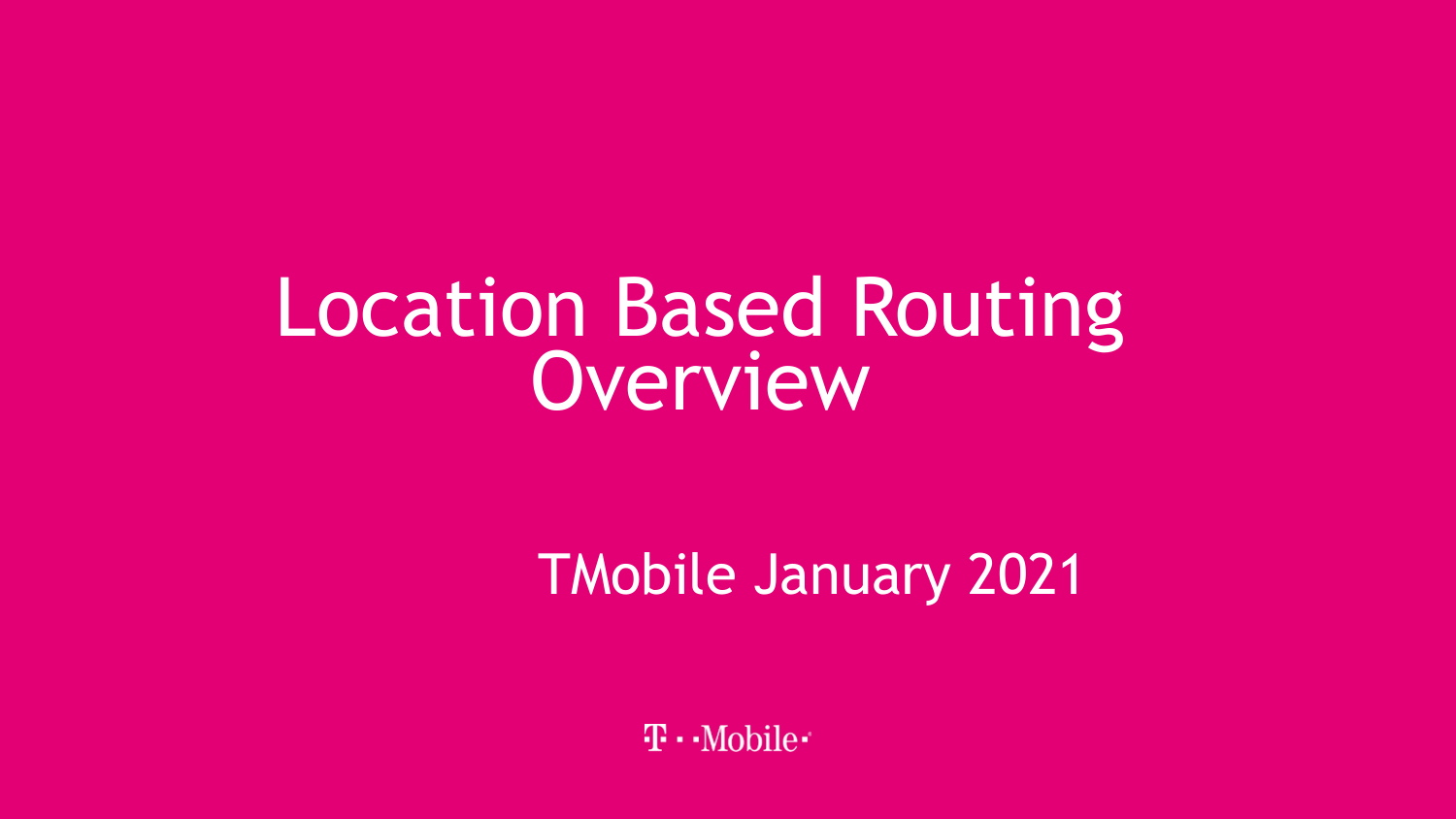# Location Based Routing<br>Overview

TMobile January 2021

 $\mathbf{T} \cdot \mathbf{M}$ obile $\cdot$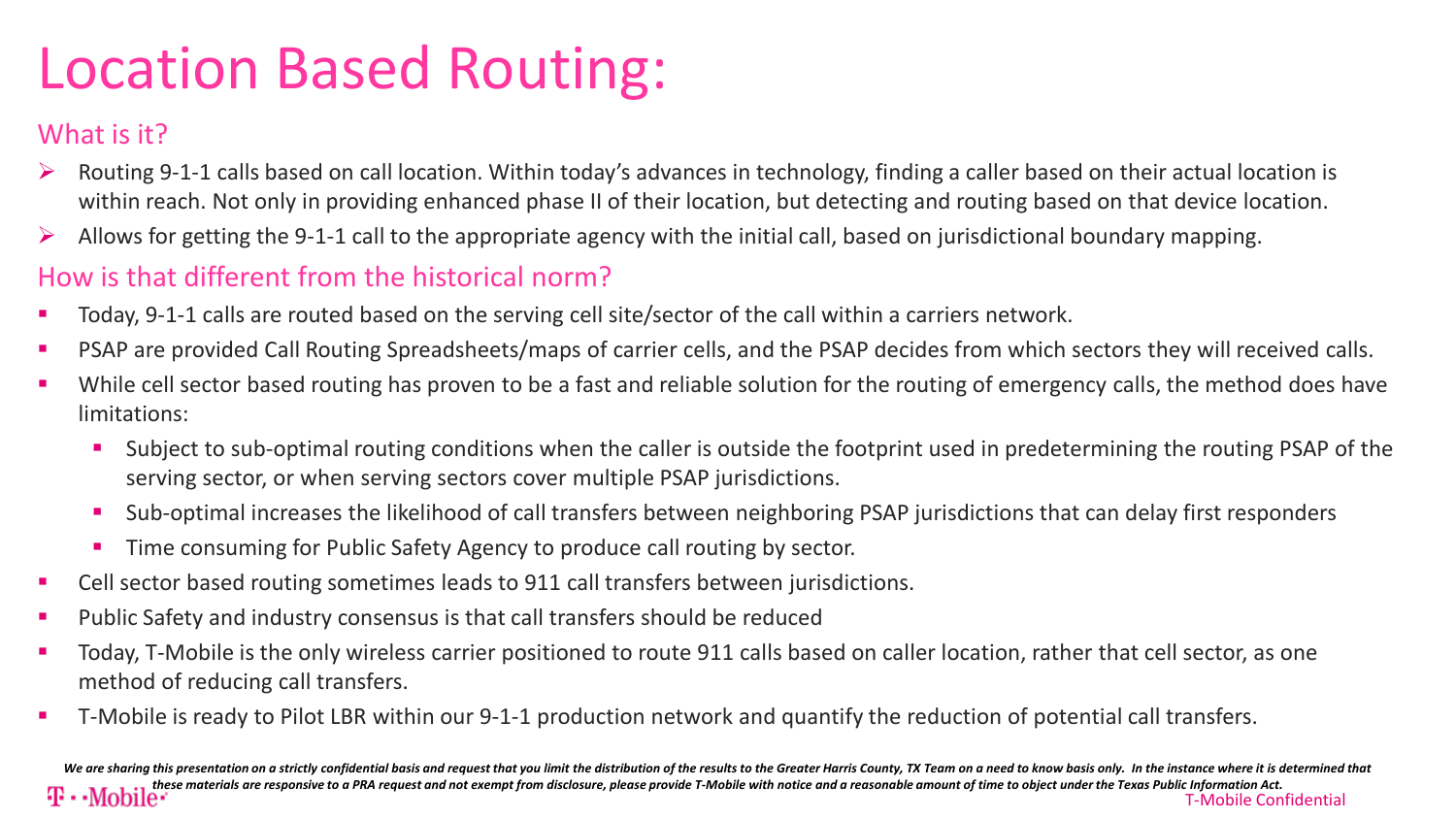# Location Based Routing:

## What is it?

- Routing 9-1-1 calls based on call location. Within today's advances in technology, finding a caller based on their actual location is within reach. Not only in providing enhanced phase II of their location, but detecting and routing based on that device location.
- Allows for getting the 9-1-1 call to the appropriate agency with the initial call, based on jurisdictional boundary mapping.

## How is that different from the historical norm?

- Today, 9-1-1 calls are routed based on the serving cell site/sector of the call within a carriers network.
- PSAP are provided Call Routing Spreadsheets/maps of carrier cells, and the PSAP decides from which sectors they will received calls.
- While cell sector based routing has proven to be a fast and reliable solution for the routing of emergency calls, the method does have limitations:
	- Subject to sub-optimal routing conditions when the caller is outside the footprint used in predetermining the routing PSAP of the serving sector, or when serving sectors cover multiple PSAP jurisdictions.
	- Sub-optimal increases the likelihood of call transfers between neighboring PSAP jurisdictions that can delay first responders
	- **Time consuming for Public Safety Agency to produce call routing by sector.**
- Cell sector based routing sometimes leads to 911 call transfers between jurisdictions.
- Public Safety and industry consensus is that call transfers should be reduced
- Today, T-Mobile is the only wireless carrier positioned to route 911 calls based on caller location, rather that cell sector, as one method of reducing call transfers.
- T-Mobile is ready to Pilot LBR within our 9-1-1 production network and quantify the reduction of potential call transfers.

T-Mobile Confidential 2 We are sharing this presentation on a strictly confidential basis and request that you limit the distribution of the results to the Greater Harris County, TX Team on a need to know basis only. In the instance where it is d *these materials are responsive to a PRA request and not exempt from disclosure, please provide T-Mobile with notice and a reasonable amount of time to object under the Texas Public Information Act.*<br>T-Mobile Con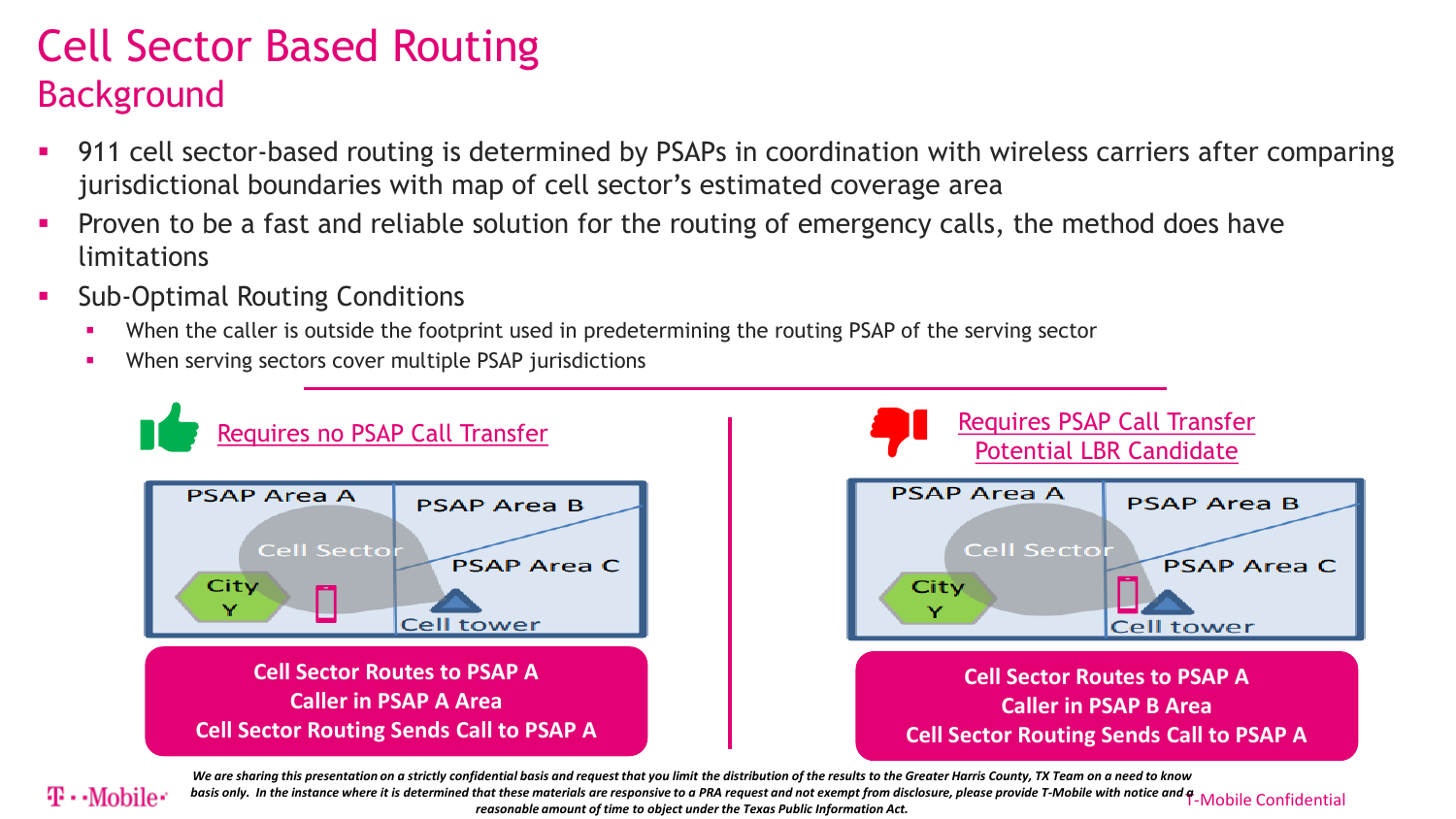## Cell Sector Based Routing Background

- 911 cell sector-based routing is determined by PSAPs in coordination with wireless carriers after comparing jurisdictional boundaries with map of cell sector's estimated coverage area
- Proven to be a fast and reliable solution for the routing of emergency calls, the method does have limitations
- Sub-Optimal Routing Conditions
	- When the caller is outside the footprint used in predetermining the routing PSAP of the serving sector
	- **When serving sectors cover multiple PSAP jurisdictions**



*We are sharing this presentation on a strictly confidential basis and request that you limit the distribution of the results to the Greater Harris County, TX Team on a need to know* 

 $\bf{T\cdot Mohile}^*$  basis only. In the instance where it is determined that these materials are responsive to a PRA request and not exempt from disclosure, please provide T-Mobile with notice and  $\bf{f}$ -Mobile Confidential rea *reasonable amount of time to object under the Texas Public Information Act.*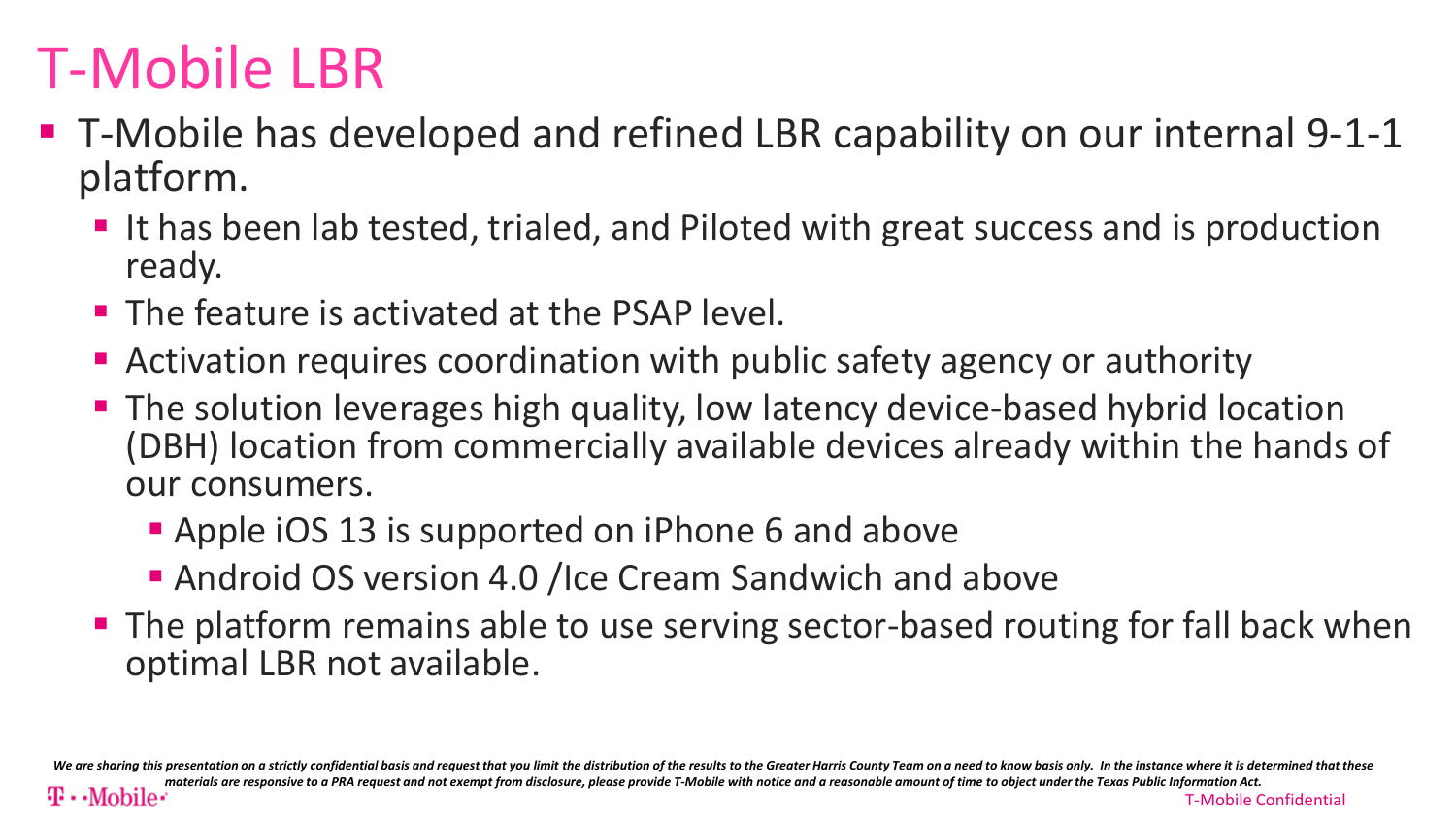# T-Mobile LBR

- T-Mobile has developed and refined LBR capability on our internal 9-1-1 platform.
	- I It has been lab tested, trialed, and Piloted with great success and is production ready.
	- **The feature is activated at the PSAP level.**
	- Activation requires coordination with public safety agency or authority
	- **The solution leverages high quality, low latency device-based hybrid location** (DBH) location from commercially available devices already within the hands of our consumers.
		- **Apple iOS 13 is supported on iPhone 6 and above**
		- **Android OS version 4.0 /Ice Cream Sandwich and above**
	- **The platform remains able to use serving sector-based routing for fall back when** optimal LBR not available.

We are sharing this presentation on a strictly confidential basis and request that you limit the distribution of the results to the Greater Harris County Team on a need to know basis only. In the instance where it is deter *materials are responsive to a PRA request and not exempt from disclosure, please provide T-Mobile with notice and a reasonable amount of time to object under the Texas Public Information Act.*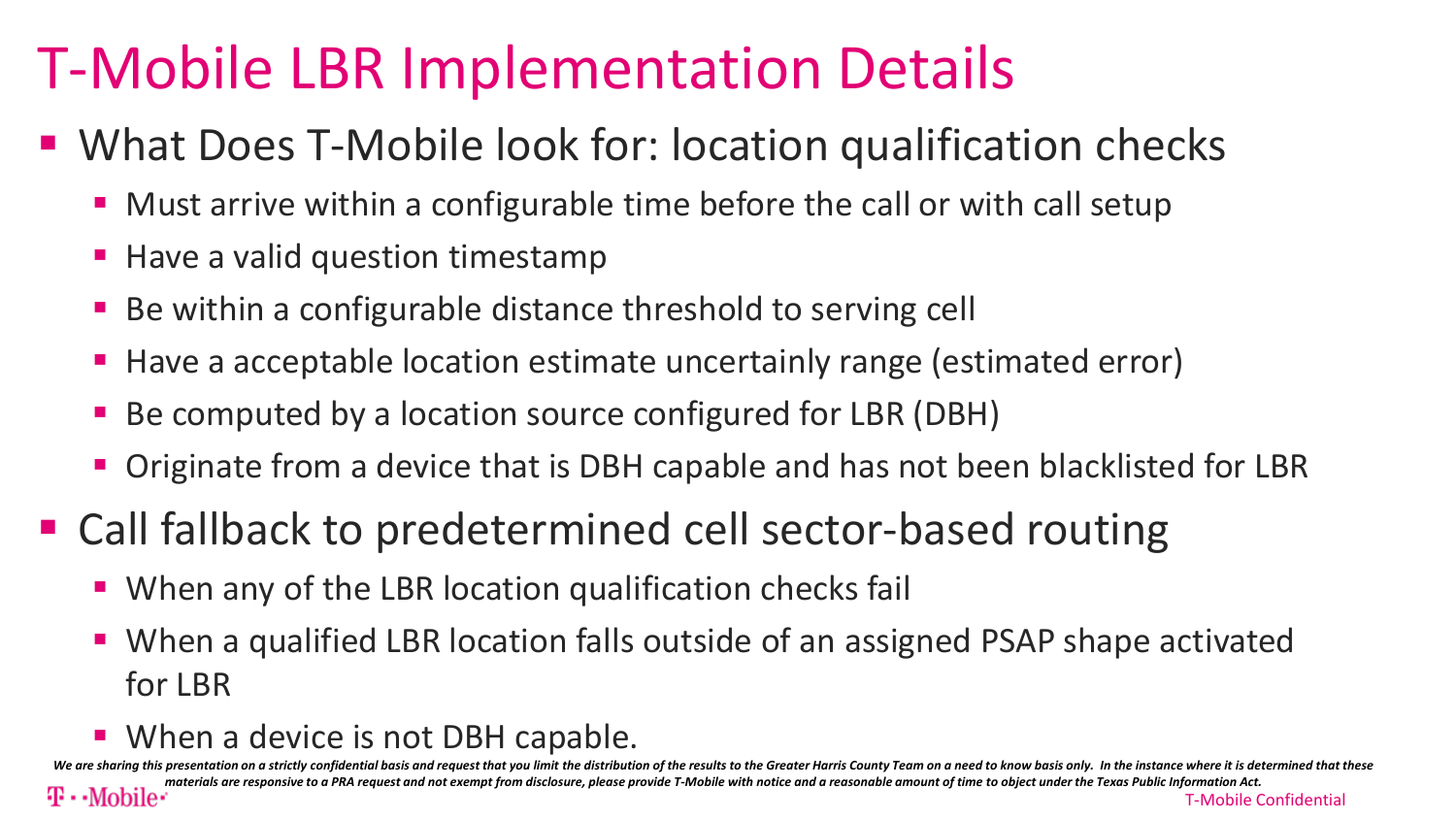# T-Mobile LBR Implementation Details

- What Does T-Mobile look for: location qualification checks
	- Must arrive within a configurable time before the call or with call setup
	- Have a valid question timestamp
	- Be within a configurable distance threshold to serving cell
	- Have a acceptable location estimate uncertainly range (estimated error)
	- Be computed by a location source configured for LBR (DBH)
	- Originate from a device that is DBH capable and has not been blacklisted for LBR
- Call fallback to predetermined cell sector-based routing
	- When any of the LBR location qualification checks fail
	- When a qualified LBR location falls outside of an assigned PSAP shape activated for LBR
	- **When a device is not DBH capable.**

We are sharing this presentation on a strictly confidential basis and request that you limit the distribution of the results to the Greater Harris County Team on a need to know basis only. In the instance where it is deter materials are responsive to a PRA request and not exempt from disclosure, please provide T-Mobile with notice and a reasonable amount of time to object under the Texas Public Information Act.<br>T-Mobile (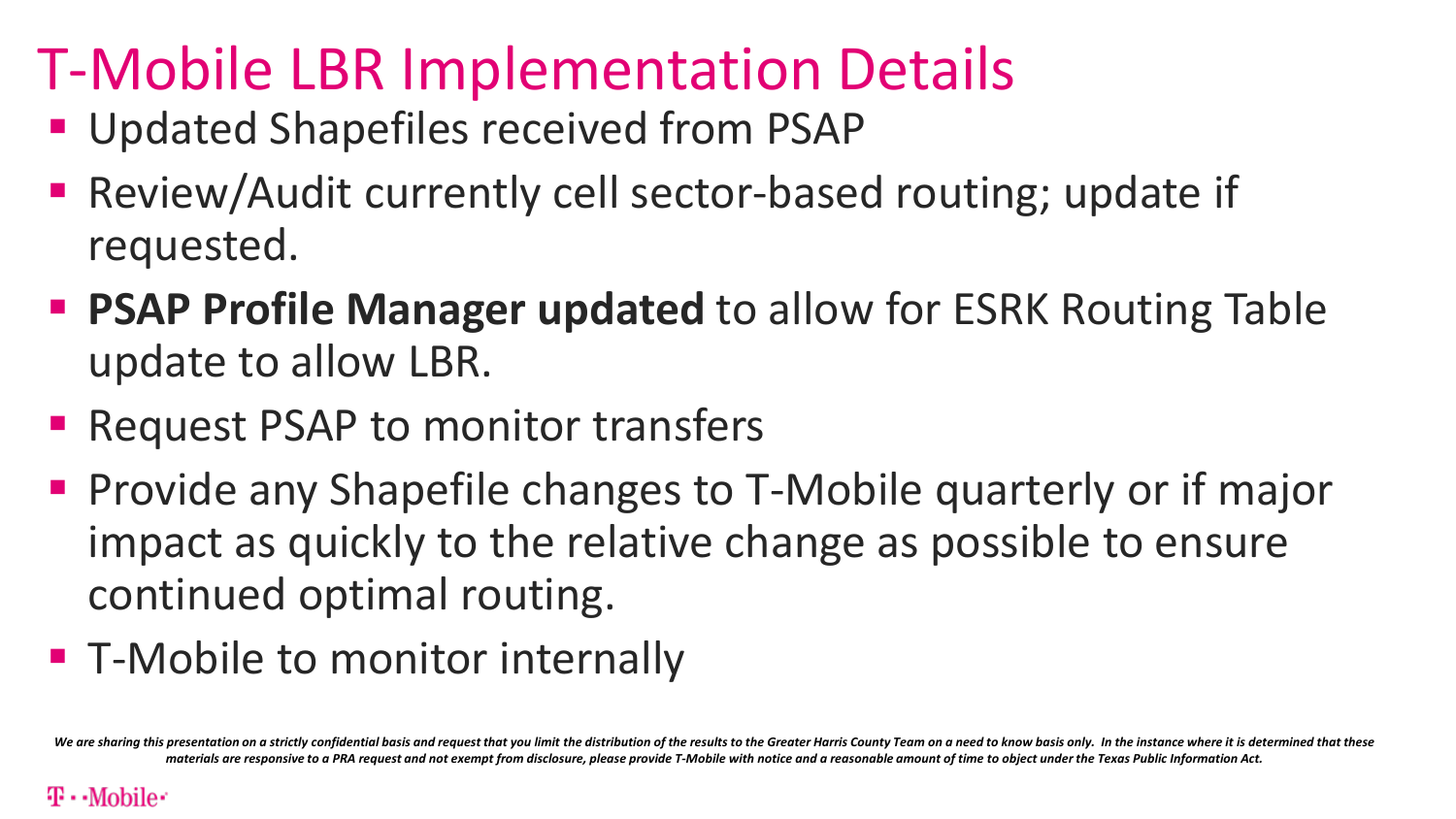# T-Mobile LBR Implementation Details

- **Updated Shapefiles received from PSAP**
- Review/Audit currently cell sector-based routing; update if requested.
- **PSAP Profile Manager updated** to allow for ESRK Routing Table update to allow LBR.
- Request PSAP to monitor transfers
- **Provide any Shapefile changes to T-Mobile quarterly or if major** impact as quickly to the relative change as possible to ensure continued optimal routing.
- **T-Mobile to monitor internally**

We are sharing this presentation on a strictly confidential basis and request that you limit the distribution of the results to the Greater Harris County Team on a need to know basis only. In the instance where it is deter *materials are responsive to a PRA request and not exempt from disclosure, please provide T-Mobile with notice and a reasonable amount of time to object under the Texas Public Information Act.*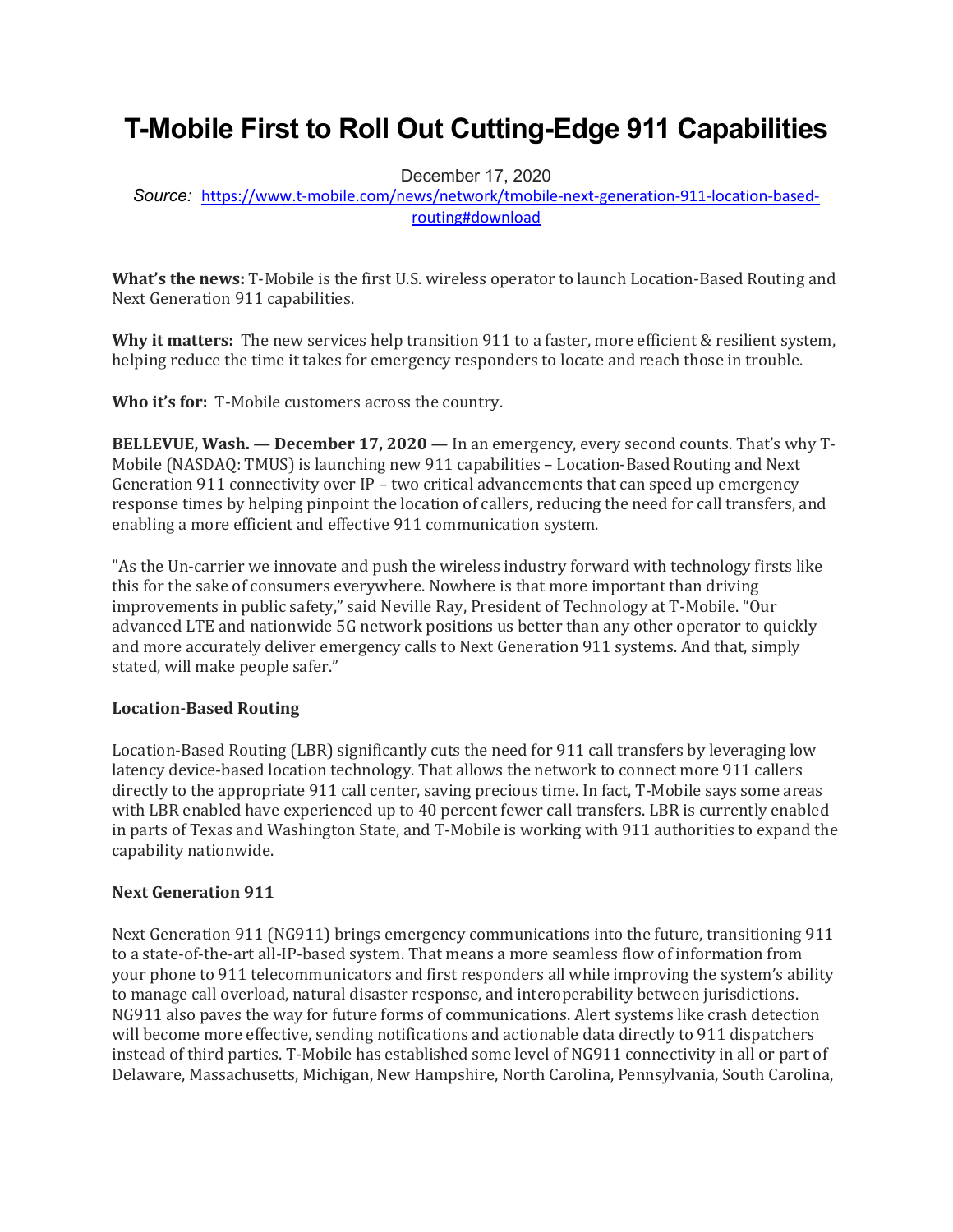### **T-Mobile First to Roll Out Cutting-Edge 911 Capabilities**

December 17, 2020

*Source:* [https://www.t-mobile.com/news/network/tmobile-next-generation-911-location-based](https://www.t-mobile.com/news/network/tmobile-next-generation-911-location-based-routing#download)[routing#download](https://www.t-mobile.com/news/network/tmobile-next-generation-911-location-based-routing#download)

**What's the news:** T-Mobile is the first U.S. wireless operator to launch Location-Based Routing and Next Generation 911 capabilities.

**Why it matters:** The new services help transition 911 to a faster, more efficient & resilient system, helping reduce the time it takes for emergency responders to locate and reach those in trouble.

**Who it's for:** T-Mobile customers across the country.

**BELLEVUE, Wash. — December 17, 2020 —** In an emergency, every second counts. That's why T-Mobile (NASDAQ: TMUS) is launching new 911 capabilities – Location-Based Routing and Next Generation 911 connectivity over IP – two critical advancements that can speed up emergency response times by helping pinpoint the location of callers, reducing the need for call transfers, and enabling a more efficient and effective 911 communication system.

"As the Un-carrier we innovate and push the wireless industry forward with technology firsts like this for the sake of consumers everywhere. Nowhere is that more important than driving improvements in public safety," said Neville Ray, President of Technology at T-Mobile. "Our advanced LTE and nationwide 5G network positions us better than any other operator to quickly and more accurately deliver emergency calls to Next Generation 911 systems. And that, simply stated, will make people safer."

#### **Location-Based Routing**

Location-Based Routing (LBR) significantly cuts the need for 911 call transfers by leveraging low latency device-based location technology. That allows the network to connect more 911 callers directly to the appropriate 911 call center, saving precious time. In fact, T-Mobile says some areas with LBR enabled have experienced up to 40 percent fewer call transfers. LBR is currently enabled in parts of Texas and Washington State, and T-Mobile is working with 911 authorities to expand the capability nationwide.

#### **Next Generation 911**

Next Generation 911 (NG911) brings emergency communications into the future, transitioning 911 to a state-of-the-art all-IP-based system. That means a more seamless flow of information from your phone to 911 telecommunicators and first responders all while improving the system's ability to manage call overload, natural disaster response, and interoperability between jurisdictions. NG911 also paves the way for future forms of communications. Alert systems like crash detection will become more effective, sending notifications and actionable data directly to 911 dispatchers instead of third parties. T-Mobile has established some level of NG911 connectivity in all or part of Delaware, Massachusetts, Michigan, New Hampshire, North Carolina, Pennsylvania, South Carolina,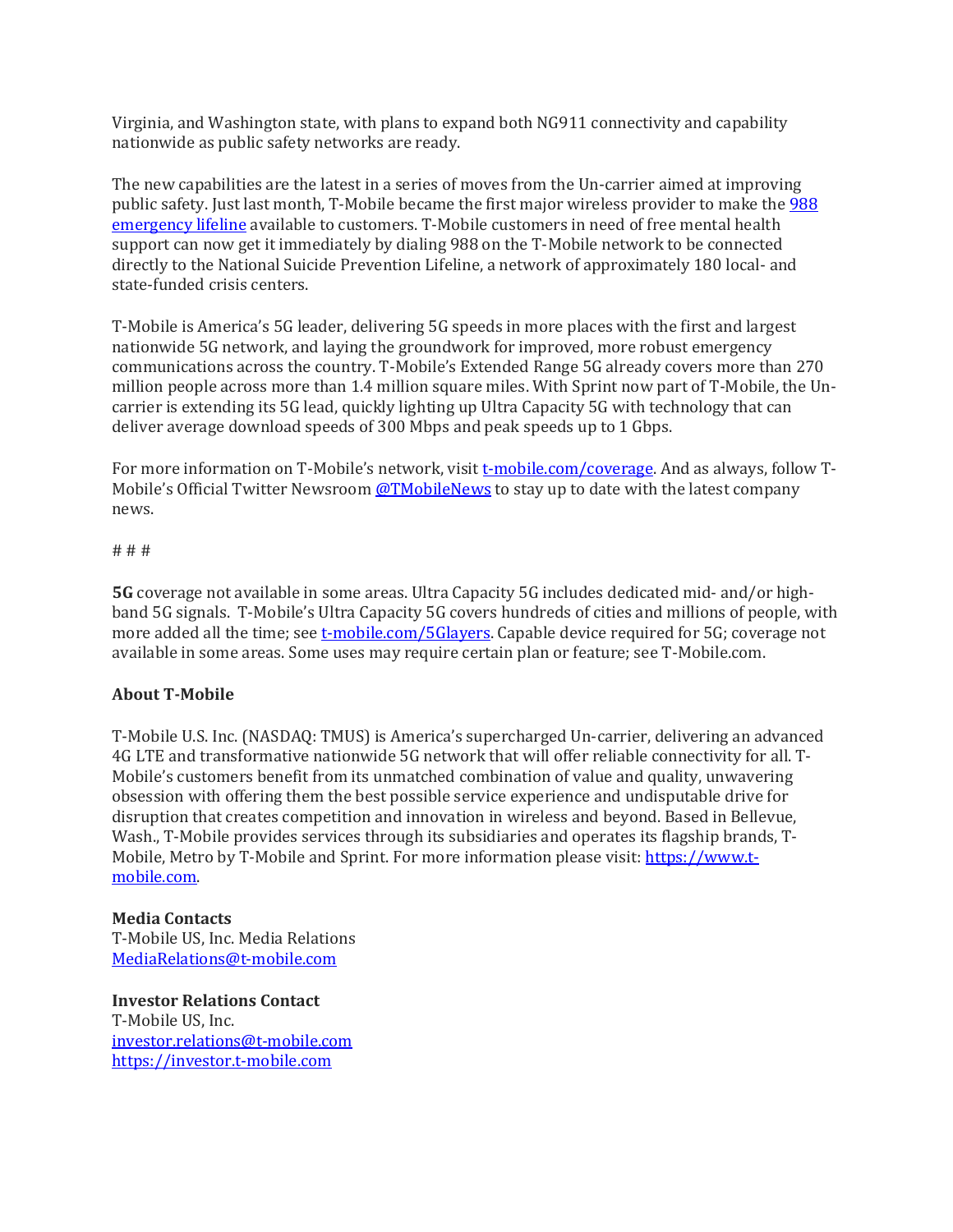Virginia, and Washington state, with plans to expand both NG911 connectivity and capability nationwide as public safety networks are ready.

The new capabilities are the latest in a series of moves from the Un-carrier aimed at improving public safety. Just last month, T-Mobile became the first major wireless provider to make the [988](https://www.t-mobile.com/news/community/t-mobile-makes-988-emergency-lifeline-available-to-customers)  [emergency lifeline](https://www.t-mobile.com/news/community/t-mobile-makes-988-emergency-lifeline-available-to-customers) available to customers. T-Mobile customers in need of free mental health support can now get it immediately by dialing 988 on the T-Mobile network to be connected directly to the National Suicide Prevention Lifeline, a network of approximately 180 local- and state-funded crisis centers.

T-Mobile is America's 5G leader, delivering 5G speeds in more places with the first and largest nationwide 5G network, and laying the groundwork for improved, more robust emergency communications across the country. T-Mobile's Extended Range 5G already covers more than 270 million people across more than 1.4 million square miles. With Sprint now part of T-Mobile, the Uncarrier is extending its 5G lead, quickly lighting up Ultra Capacity 5G with technology that can deliver average download speeds of 300 Mbps and peak speeds up to 1 Gbps.

For more information on T-Mobile's network, visit [t-mobile.com/coverage.](https://www.t-mobile.com/coverage) And as always, follow T-Mobile's Official Twitter Newsroom [@TMobileNews](https://nam02.safelinks.protection.outlook.com/?url=https%3A%2F%2Ftwitter.com%2FTMobileNews&data=02%7C01%7CGina.Cohen3%40T-Mobile.com%7C99a364c68ae74ac2a38508d7a6aa2b95%7Cbe0f980bdd994b19bd7bbc71a09b026c%7C0%7C0%7C637161122116110118&sdata=EmvFbas31iO9vDTPE5udP5OqKFD%2FYropl5DHQhnsqaE%3D&reserved=0) to stay up to date with the latest company news.

# # #

**5G** coverage not available in some areas. Ultra Capacity 5G includes dedicated mid- and/or highband 5G signals. T-Mobile's Ultra Capacity 5G covers hundreds of cities and millions of people, with more added all the time; see [t-mobile.com/5Glayers.](https://www.t-mobile.com/5Glayers) Capable device required for 5G; coverage not available in some areas. Some uses may require certain plan or feature; see T-Mobile.com.

#### **About T-Mobile**

T-Mobile U.S. Inc. (NASDAQ: TMUS) is America's supercharged Un-carrier, delivering an advanced 4G LTE and transformative nationwide 5G network that will offer reliable connectivity for all. T-Mobile's customers benefit from its unmatched combination of value and quality, unwavering obsession with offering them the best possible service experience and undisputable drive for disruption that creates competition and innovation in wireless and beyond. Based in Bellevue, Wash., T-Mobile provides services through its subsidiaries and operates its flagship brands, T-Mobile, Metro by T-Mobile and Sprint. For more information please visit: [https://www.t](https://www.t-mobile.com/)[mobile.com.](https://www.t-mobile.com/)

#### **Media Contacts**

T-Mobile US, Inc. Media Relations [MediaRelations@t-mobile.com](mailto:MediaRelations@T-Mobile.com)

**Investor Relations Contact** T-Mobile US, Inc. [investor.relations@t-mobile.com](mailto:investor.relations@t-mobile.com) [https://investor.t-mobile.com](https://investor.t-mobile.com/)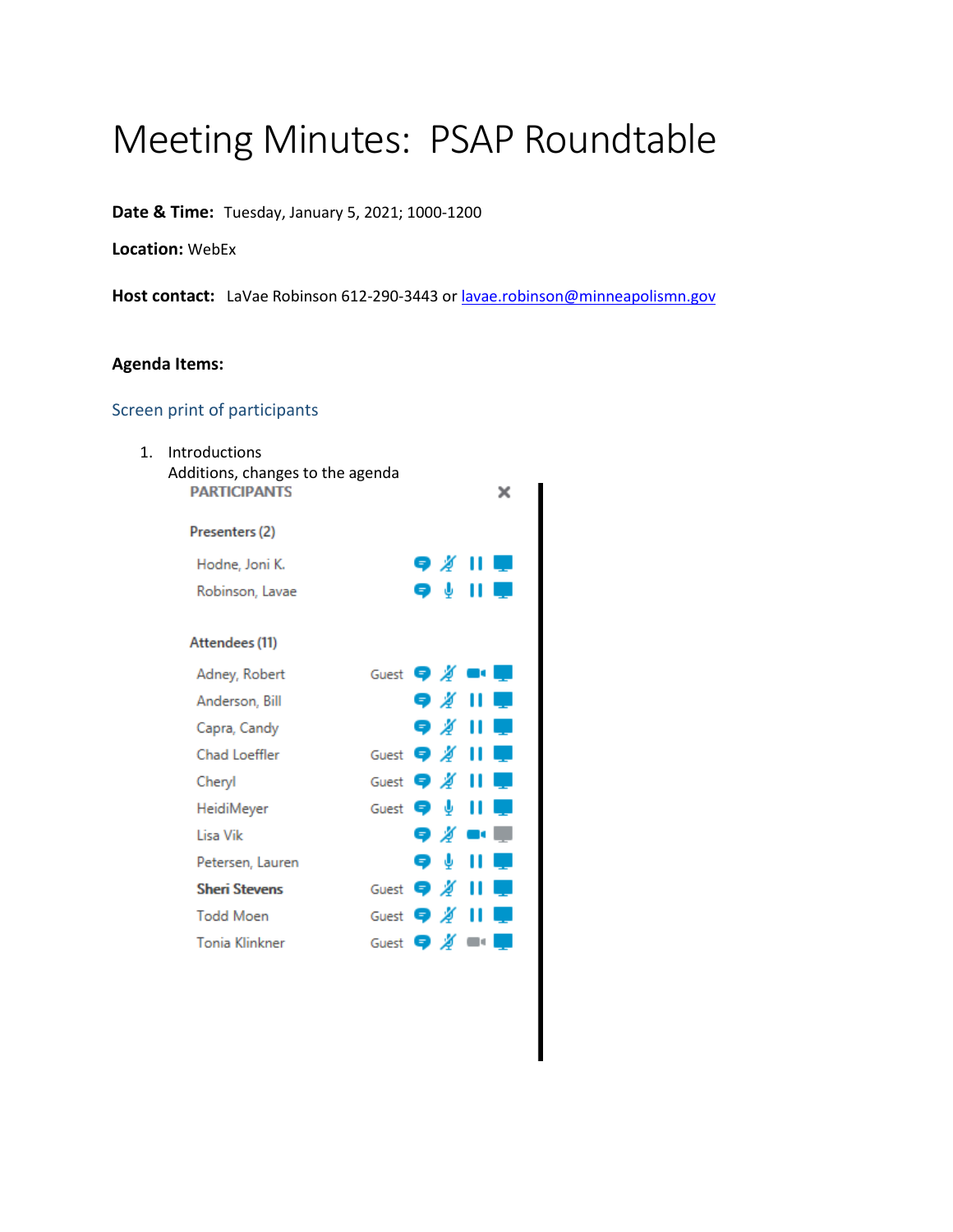## Meeting Minutes: PSAP Roundtable

**Date & Time:** Tuesday, January 5, 2021; 1000-1200

**Location:** WebEx

Host contact: LaVae Robinson 612-290-3443 or **lavae.robinson@minneapolismn.gov** 

#### **Agenda Items:**

#### Screen print of participants

| $\mathbf{1}$ . | <b>Introductions</b><br>Additions, changes to the agenda<br><b>PARTICIPANTS</b> |                                                  |
|----------------|---------------------------------------------------------------------------------|--------------------------------------------------|
|                | Presenters (2)                                                                  |                                                  |
|                | Hodne, Joni K.                                                                  |                                                  |
|                | Robinson, Lavae                                                                 | Q V                                              |
|                | Attendees (11)                                                                  |                                                  |
|                | Adney, Robert                                                                   | Guest $\bullet$ $\cancel{0}$ $\bullet$ $\bullet$ |
|                | Anderson, Bill                                                                  | 9 ∦ II                                           |
|                | Capra, Candy                                                                    |                                                  |
|                | Chad Loeffler                                                                   | Guest $\bullet$ # 11                             |
|                | Cheryl                                                                          | Guest $\bullet$ #                                |
|                | HeidiMeyer                                                                      | Guest $\bigcirc$ $\downarrow$                    |
|                | Lisa Vik                                                                        | Q ∦ ■■                                           |
|                | Petersen, Lauren                                                                | φψ                                               |
|                | <b>Sheri Stevens</b>                                                            | Guest $\bullet$ X                                |
|                | <b>Todd Moen</b>                                                                | Guest $\bigcirc$ X                               |
|                | <b>Tonia Klinkner</b>                                                           | Guest $\bigcirc$ $\mathscr{A}$                   |
|                |                                                                                 |                                                  |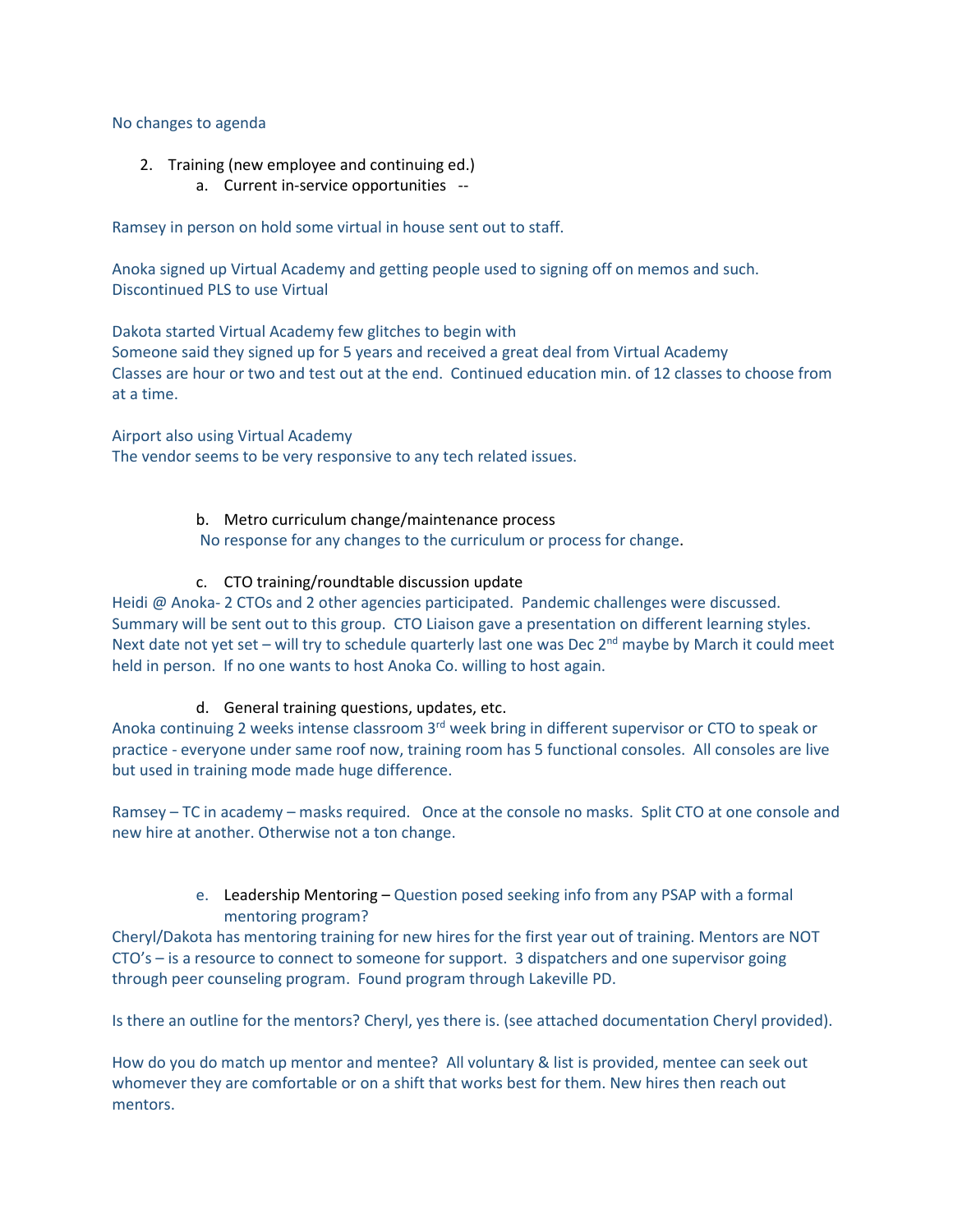#### No changes to agenda

- 2. Training (new employee and continuing ed.)
	- a. Current in-service opportunities --

Ramsey in person on hold some virtual in house sent out to staff.

Anoka signed up Virtual Academy and getting people used to signing off on memos and such. Discontinued PLS to use Virtual

Dakota started Virtual Academy few glitches to begin with Someone said they signed up for 5 years and received a great deal from Virtual Academy Classes are hour or two and test out at the end. Continued education min. of 12 classes to choose from at a time.

Airport also using Virtual Academy The vendor seems to be very responsive to any tech related issues.

#### b. Metro curriculum change/maintenance process

No response for any changes to the curriculum or process for change.

#### c. CTO training/roundtable discussion update

Heidi @ Anoka- 2 CTOs and 2 other agencies participated. Pandemic challenges were discussed. Summary will be sent out to this group. CTO Liaison gave a presentation on different learning styles. Next date not yet set – will try to schedule quarterly last one was Dec  $2<sup>nd</sup>$  maybe by March it could meet held in person. If no one wants to host Anoka Co. willing to host again.

#### d. General training questions, updates, etc.

Anoka continuing 2 weeks intense classroom 3<sup>rd</sup> week bring in different supervisor or CTO to speak or practice - everyone under same roof now, training room has 5 functional consoles. All consoles are live but used in training mode made huge difference.

Ramsey – TC in academy – masks required. Once at the console no masks. Split CTO at one console and new hire at another. Otherwise not a ton change.

#### e. Leadership Mentoring – Question posed seeking info from any PSAP with a formal mentoring program?

Cheryl/Dakota has mentoring training for new hires for the first year out of training. Mentors are NOT CTO's – is a resource to connect to someone for support. 3 dispatchers and one supervisor going through peer counseling program. Found program through Lakeville PD.

Is there an outline for the mentors? Cheryl, yes there is. (see attached documentation Cheryl provided).

How do you do match up mentor and mentee? All voluntary & list is provided, mentee can seek out whomever they are comfortable or on a shift that works best for them. New hires then reach out mentors.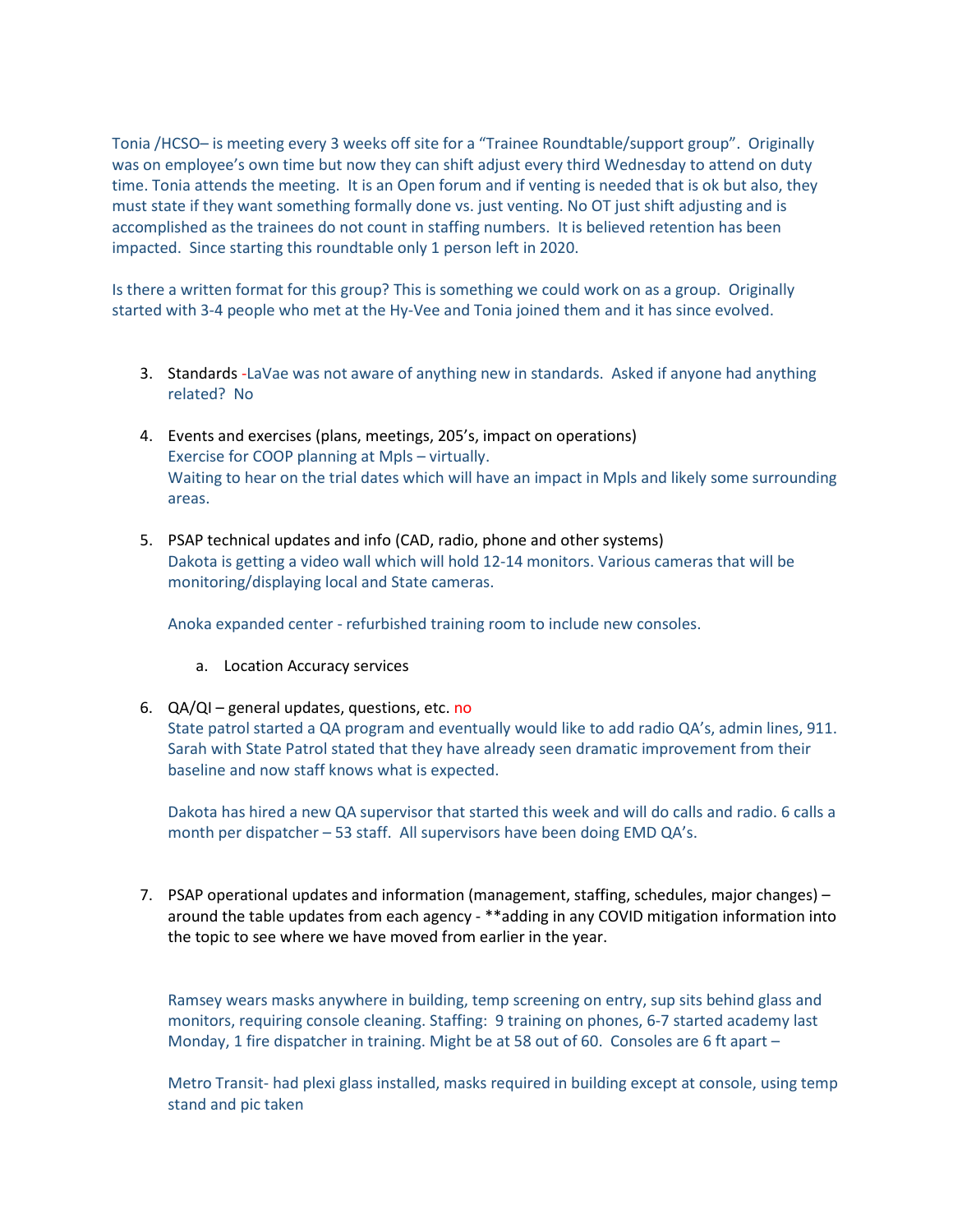Tonia /HCSO– is meeting every 3 weeks off site for a "Trainee Roundtable/support group". Originally was on employee's own time but now they can shift adjust every third Wednesday to attend on duty time. Tonia attends the meeting. It is an Open forum and if venting is needed that is ok but also, they must state if they want something formally done vs. just venting. No OT just shift adjusting and is accomplished as the trainees do not count in staffing numbers. It is believed retention has been impacted. Since starting this roundtable only 1 person left in 2020.

Is there a written format for this group? This is something we could work on as a group. Originally started with 3-4 people who met at the Hy-Vee and Tonia joined them and it has since evolved.

- 3. Standards -LaVae was not aware of anything new in standards. Asked if anyone had anything related? No
- 4. Events and exercises (plans, meetings, 205's, impact on operations) Exercise for COOP planning at Mpls – virtually. Waiting to hear on the trial dates which will have an impact in Mpls and likely some surrounding areas.
- 5. PSAP technical updates and info (CAD, radio, phone and other systems) Dakota is getting a video wall which will hold 12-14 monitors. Various cameras that will be monitoring/displaying local and State cameras.

Anoka expanded center - refurbished training room to include new consoles.

- a. Location Accuracy services
- 6.  $QA/QI$  general updates, questions, etc. no

State patrol started a QA program and eventually would like to add radio QA's, admin lines, 911. Sarah with State Patrol stated that they have already seen dramatic improvement from their baseline and now staff knows what is expected.

Dakota has hired a new QA supervisor that started this week and will do calls and radio. 6 calls a month per dispatcher – 53 staff. All supervisors have been doing EMD QA's.

7. PSAP operational updates and information (management, staffing, schedules, major changes) – around the table updates from each agency - \*\*adding in any COVID mitigation information into the topic to see where we have moved from earlier in the year.

Ramsey wears masks anywhere in building, temp screening on entry, sup sits behind glass and monitors, requiring console cleaning. Staffing: 9 training on phones, 6-7 started academy last Monday, 1 fire dispatcher in training. Might be at 58 out of 60. Consoles are 6 ft apart –

Metro Transit- had plexi glass installed, masks required in building except at console, using temp stand and pic taken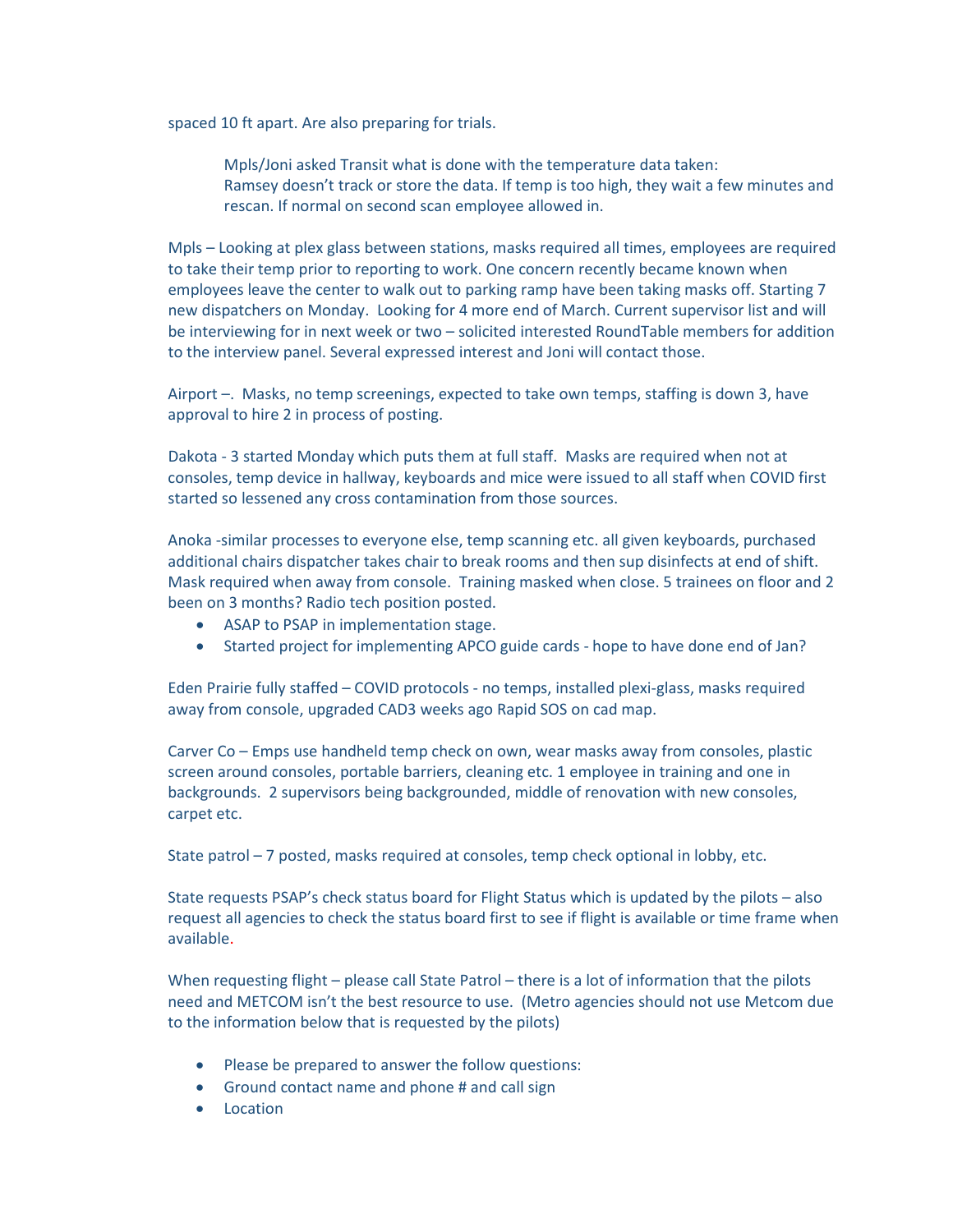spaced 10 ft apart. Are also preparing for trials.

Mpls/Joni asked Transit what is done with the temperature data taken: Ramsey doesn't track or store the data. If temp is too high, they wait a few minutes and rescan. If normal on second scan employee allowed in.

Mpls – Looking at plex glass between stations, masks required all times, employees are required to take their temp prior to reporting to work. One concern recently became known when employees leave the center to walk out to parking ramp have been taking masks off. Starting 7 new dispatchers on Monday. Looking for 4 more end of March. Current supervisor list and will be interviewing for in next week or two – solicited interested RoundTable members for addition to the interview panel. Several expressed interest and Joni will contact those.

Airport –. Masks, no temp screenings, expected to take own temps, staffing is down 3, have approval to hire 2 in process of posting.

Dakota - 3 started Monday which puts them at full staff. Masks are required when not at consoles, temp device in hallway, keyboards and mice were issued to all staff when COVID first started so lessened any cross contamination from those sources.

Anoka -similar processes to everyone else, temp scanning etc. all given keyboards, purchased additional chairs dispatcher takes chair to break rooms and then sup disinfects at end of shift. Mask required when away from console. Training masked when close. 5 trainees on floor and 2 been on 3 months? Radio tech position posted.

- ASAP to PSAP in implementation stage.
- Started project for implementing APCO guide cards hope to have done end of Jan?

Eden Prairie fully staffed – COVID protocols - no temps, installed plexi-glass, masks required away from console, upgraded CAD3 weeks ago Rapid SOS on cad map.

Carver Co – Emps use handheld temp check on own, wear masks away from consoles, plastic screen around consoles, portable barriers, cleaning etc. 1 employee in training and one in backgrounds. 2 supervisors being backgrounded, middle of renovation with new consoles, carpet etc.

State patrol – 7 posted, masks required at consoles, temp check optional in lobby, etc.

State requests PSAP's check status board for Flight Status which is updated by the pilots – also request all agencies to check the status board first to see if flight is available or time frame when available.

When requesting flight – please call State Patrol – there is a lot of information that the pilots need and METCOM isn't the best resource to use. (Metro agencies should not use Metcom due to the information below that is requested by the pilots)

- Please be prepared to answer the follow questions:
- Ground contact name and phone # and call sign
- Location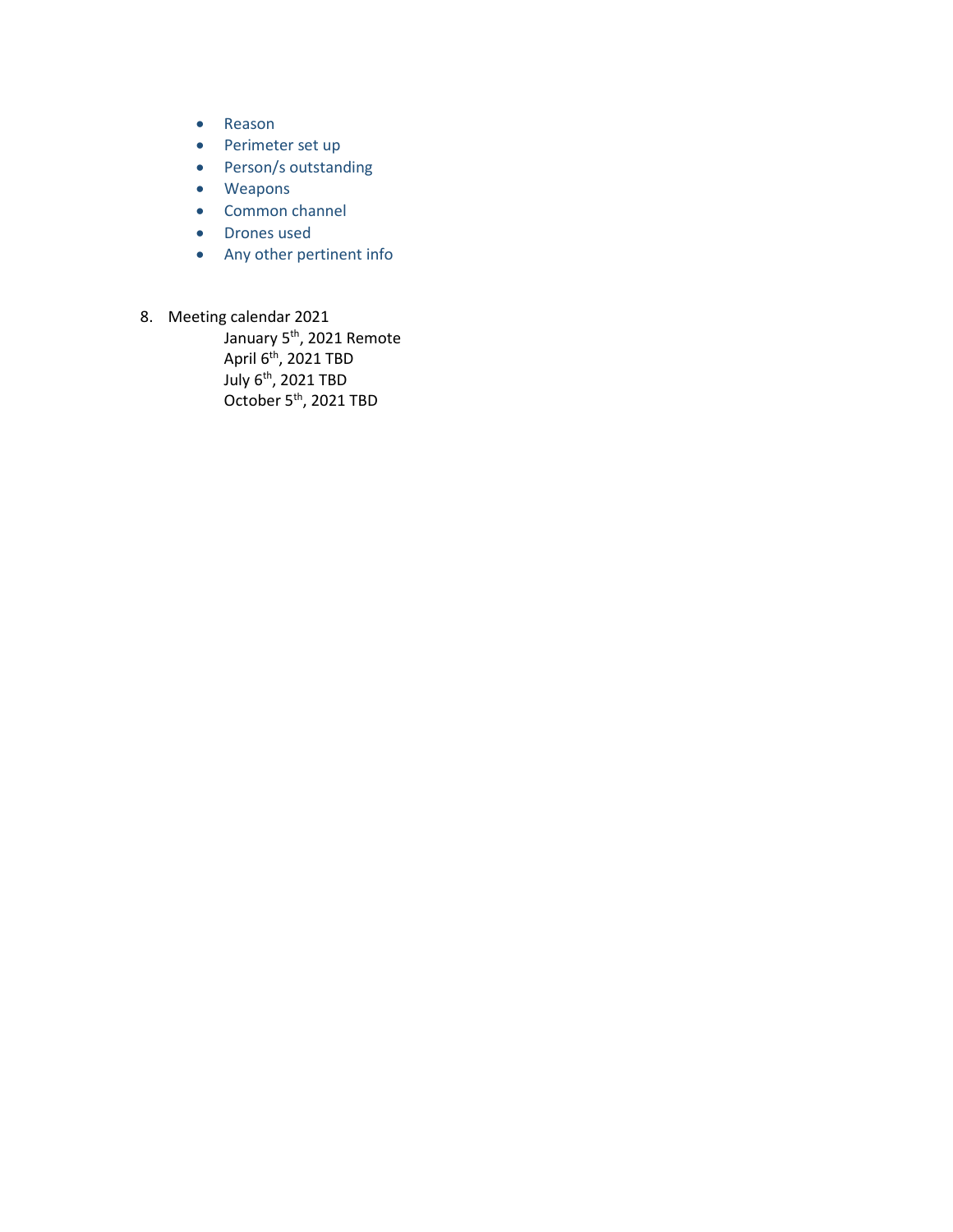- Reason
- Perimeter set up
- Person/s outstanding
- Weapons
- Common channel
- Drones used
- Any other pertinent info
- 8. Meeting calendar 2021

y<br>January 5<sup>th</sup>, 2021 Remote April  $6^{th}$ , 2021 TBD July 6th, 2021 TBD October 5<sup>th</sup>, 2021 TBD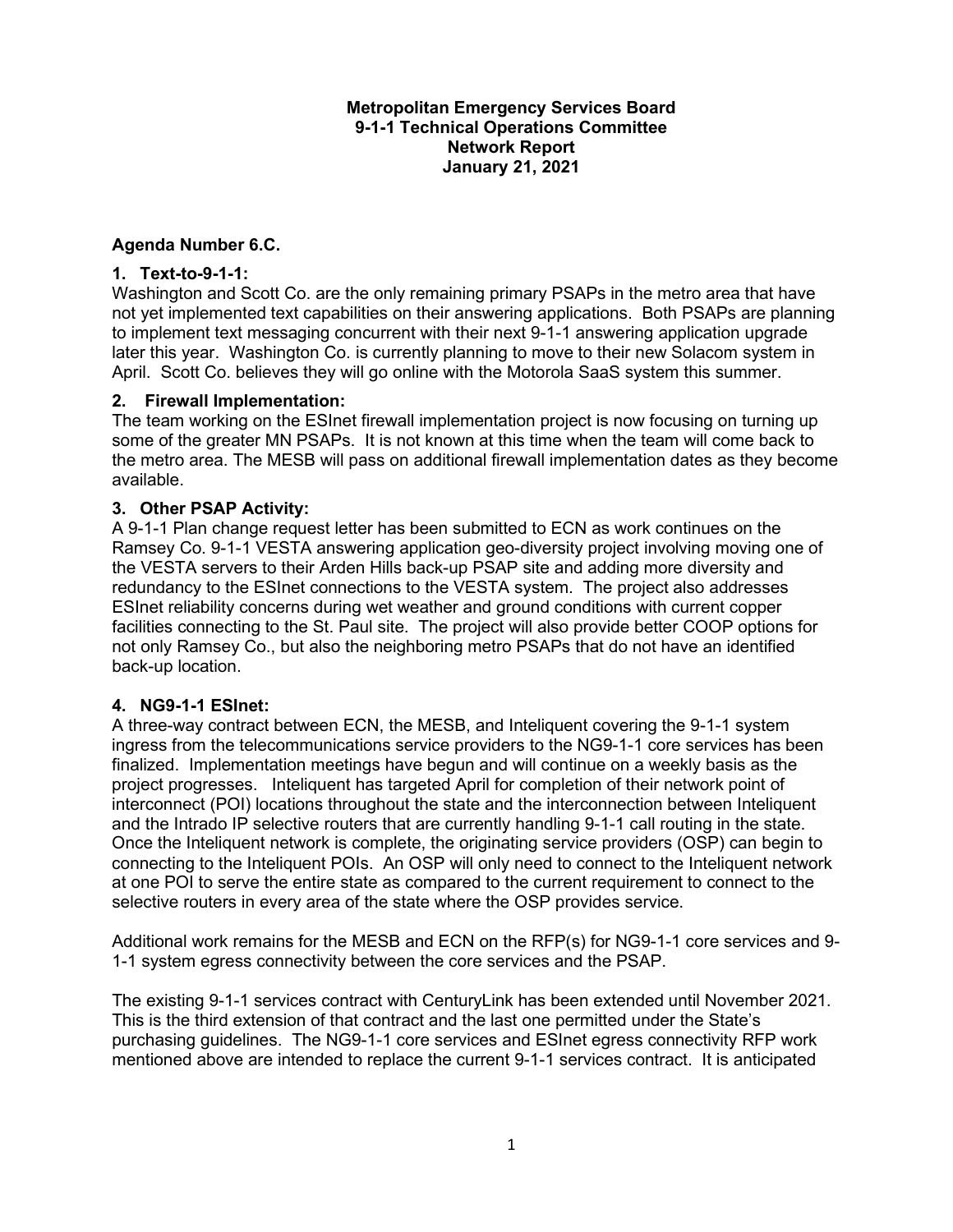#### **Metropolitan Emergency Services Board 9-1-1 Technical Operations Committee Network Report January 21, 2021**

#### **Agenda Number 6.C.**

#### **1. Text-to-9-1-1:**

Washington and Scott Co. are the only remaining primary PSAPs in the metro area that have not yet implemented text capabilities on their answering applications. Both PSAPs are planning to implement text messaging concurrent with their next 9-1-1 answering application upgrade later this year. Washington Co. is currently planning to move to their new Solacom system in April. Scott Co. believes they will go online with the Motorola SaaS system this summer.

#### **2. Firewall Implementation:**

The team working on the ESInet firewall implementation project is now focusing on turning up some of the greater MN PSAPs. It is not known at this time when the team will come back to the metro area. The MESB will pass on additional firewall implementation dates as they become available.

#### **3. Other PSAP Activity:**

A 9-1-1 Plan change request letter has been submitted to ECN as work continues on the Ramsey Co. 9-1-1 VESTA answering application geo-diversity project involving moving one of the VESTA servers to their Arden Hills back-up PSAP site and adding more diversity and redundancy to the ESInet connections to the VESTA system. The project also addresses ESInet reliability concerns during wet weather and ground conditions with current copper facilities connecting to the St. Paul site. The project will also provide better COOP options for not only Ramsey Co., but also the neighboring metro PSAPs that do not have an identified back-up location.

#### **4. NG9-1-1 ESInet:**

A three-way contract between ECN, the MESB, and Inteliquent covering the 9-1-1 system ingress from the telecommunications service providers to the NG9-1-1 core services has been finalized. Implementation meetings have begun and will continue on a weekly basis as the project progresses. Inteliquent has targeted April for completion of their network point of interconnect (POI) locations throughout the state and the interconnection between Inteliquent and the Intrado IP selective routers that are currently handling 9-1-1 call routing in the state. Once the Inteliquent network is complete, the originating service providers (OSP) can begin to connecting to the Inteliquent POIs. An OSP will only need to connect to the Inteliquent network at one POI to serve the entire state as compared to the current requirement to connect to the selective routers in every area of the state where the OSP provides service.

Additional work remains for the MESB and ECN on the RFP(s) for NG9-1-1 core services and 9- 1-1 system egress connectivity between the core services and the PSAP.

The existing 9-1-1 services contract with CenturyLink has been extended until November 2021. This is the third extension of that contract and the last one permitted under the State's purchasing guidelines. The NG9-1-1 core services and ESInet egress connectivity RFP work mentioned above are intended to replace the current 9-1-1 services contract. It is anticipated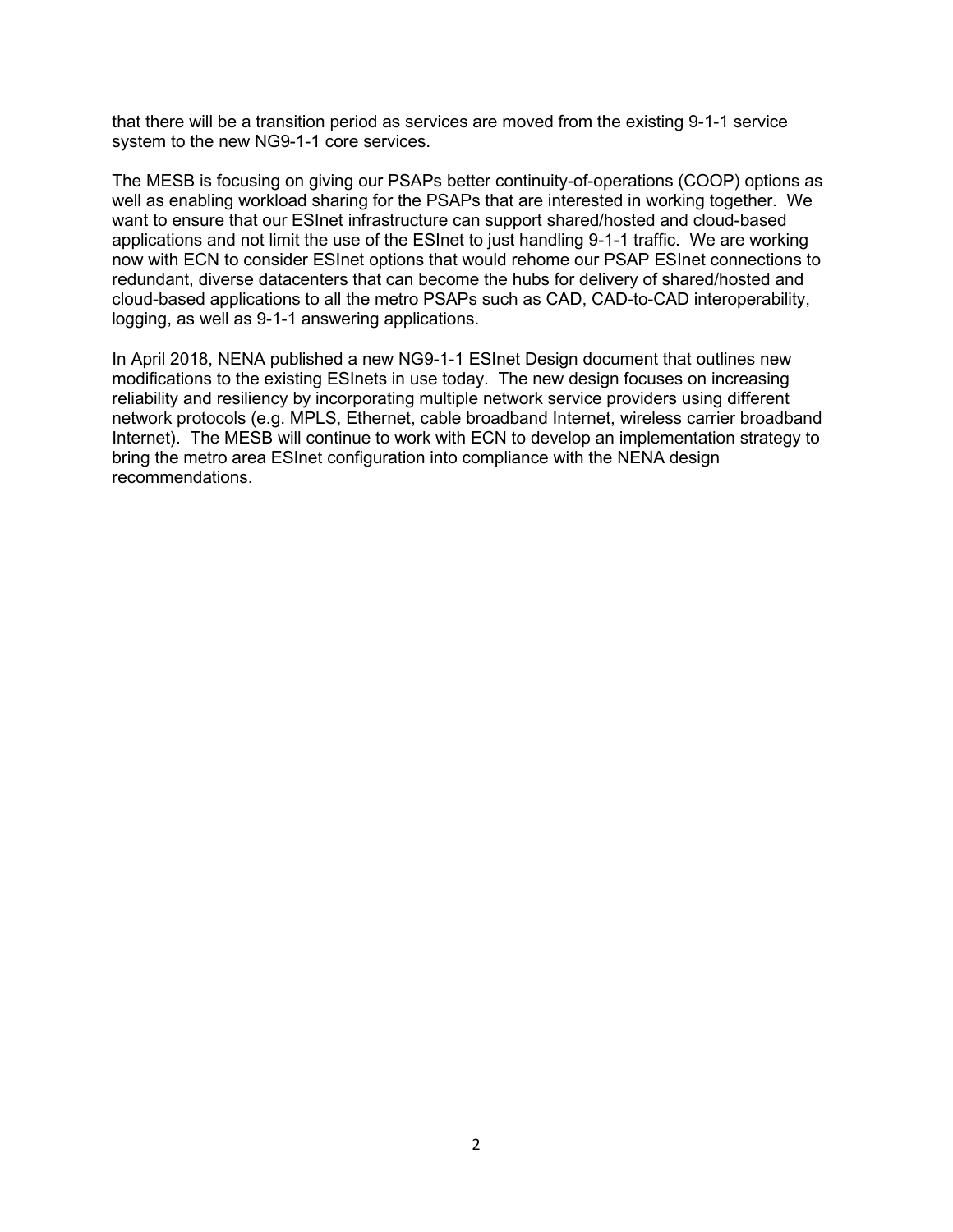that there will be a transition period as services are moved from the existing 9-1-1 service system to the new NG9-1-1 core services.

The MESB is focusing on giving our PSAPs better continuity-of-operations (COOP) options as well as enabling workload sharing for the PSAPs that are interested in working together. We want to ensure that our ESInet infrastructure can support shared/hosted and cloud-based applications and not limit the use of the ESInet to just handling 9-1-1 traffic. We are working now with ECN to consider ESInet options that would rehome our PSAP ESInet connections to redundant, diverse datacenters that can become the hubs for delivery of shared/hosted and cloud-based applications to all the metro PSAPs such as CAD, CAD-to-CAD interoperability, logging, as well as 9-1-1 answering applications.

In April 2018, NENA published a new NG9-1-1 ESInet Design document that outlines new modifications to the existing ESInets in use today. The new design focuses on increasing reliability and resiliency by incorporating multiple network service providers using different network protocols (e.g. MPLS, Ethernet, cable broadband Internet, wireless carrier broadband Internet). The MESB will continue to work with ECN to develop an implementation strategy to bring the metro area ESInet configuration into compliance with the NENA design recommendations.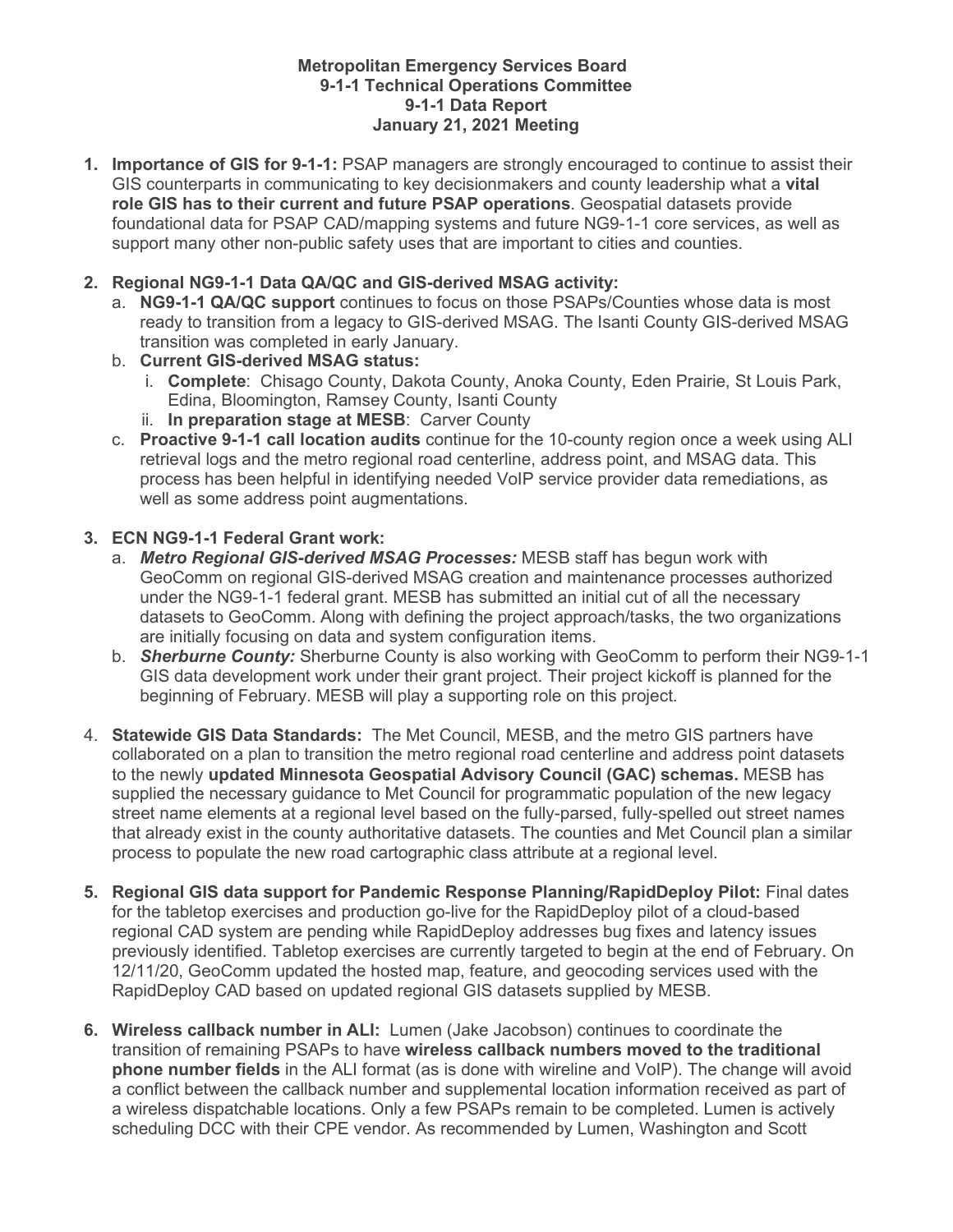#### **Metropolitan Emergency Services Board 9-1-1 Technical Operations Committee 9-1-1 Data Report January 21, 2021 Meeting**

**1. Importance of GIS for 9-1-1:** PSAP managers are strongly encouraged to continue to assist their GIS counterparts in communicating to key decisionmakers and county leadership what a **vital role GIS has to their current and future PSAP operations**. Geospatial datasets provide foundational data for PSAP CAD/mapping systems and future NG9-1-1 core services, as well as support many other non-public safety uses that are important to cities and counties.

#### **2. Regional NG9-1-1 Data QA/QC and GIS-derived MSAG activity:**

- a. **NG9-1-1 QA/QC support** continues to focus on those PSAPs/Counties whose data is most ready to transition from a legacy to GIS-derived MSAG. The Isanti County GIS-derived MSAG transition was completed in early January.
- b. **Current GIS-derived MSAG status:** 
	- i. **Complete**: Chisago County, Dakota County, Anoka County, Eden Prairie, St Louis Park, Edina, Bloomington, Ramsey County, Isanti County
	- ii. **In preparation stage at MESB**: Carver County
- c. **Proactive 9-1-1 call location audits** continue for the 10-county region once a week using ALI retrieval logs and the metro regional road centerline, address point, and MSAG data. This process has been helpful in identifying needed VoIP service provider data remediations, as well as some address point augmentations.

#### **3. ECN NG9-1-1 Federal Grant work:**

- a. *Metro Regional GIS-derived MSAG Processes:* MESB staff has begun work with GeoComm on regional GIS-derived MSAG creation and maintenance processes authorized under the NG9-1-1 federal grant. MESB has submitted an initial cut of all the necessary datasets to GeoComm. Along with defining the project approach/tasks, the two organizations are initially focusing on data and system configuration items.
- b. *Sherburne County:* Sherburne County is also working with GeoComm to perform their NG9-1-1 GIS data development work under their grant project. Their project kickoff is planned for the beginning of February. MESB will play a supporting role on this project.
- 4. **Statewide GIS Data Standards:** The Met Council, MESB, and the metro GIS partners have collaborated on a plan to transition the metro regional road centerline and address point datasets to the newly **updated Minnesota Geospatial Advisory Council (GAC) schemas.** MESB has supplied the necessary guidance to Met Council for programmatic population of the new legacy street name elements at a regional level based on the fully-parsed, fully-spelled out street names that already exist in the county authoritative datasets. The counties and Met Council plan a similar process to populate the new road cartographic class attribute at a regional level.
- **5. Regional GIS data support for Pandemic Response Planning/RapidDeploy Pilot:** Final dates for the tabletop exercises and production go-live for the RapidDeploy pilot of a cloud-based regional CAD system are pending while RapidDeploy addresses bug fixes and latency issues previously identified. Tabletop exercises are currently targeted to begin at the end of February. On 12/11/20, GeoComm updated the hosted map, feature, and geocoding services used with the RapidDeploy CAD based on updated regional GIS datasets supplied by MESB.
- **6. Wireless callback number in ALI:** Lumen (Jake Jacobson) continues to coordinate the transition of remaining PSAPs to have **wireless callback numbers moved to the traditional phone number fields** in the ALI format (as is done with wireline and VoIP). The change will avoid a conflict between the callback number and supplemental location information received as part of a wireless dispatchable locations. Only a few PSAPs remain to be completed. Lumen is actively scheduling DCC with their CPE vendor. As recommended by Lumen, Washington and Scott